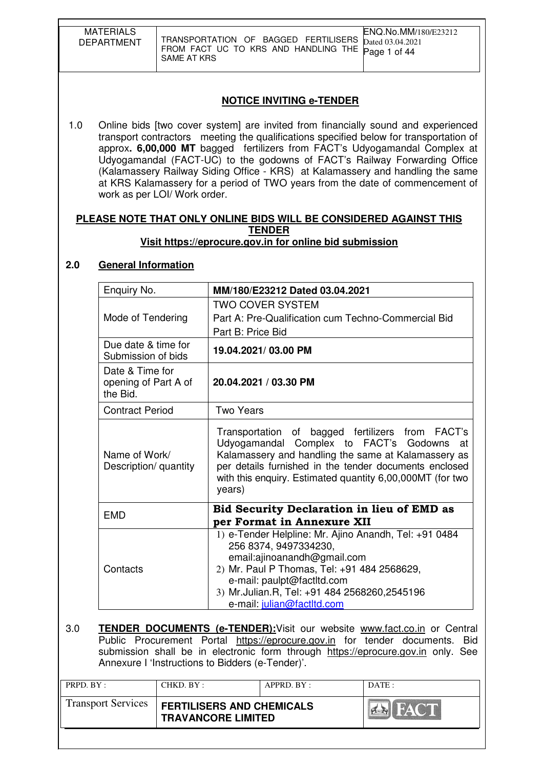| <b>MATERIALS</b><br><b>DEPARTMENT</b><br>SAME AT KRS                                                                                                                                                                                                                                                                                                                                                                                                                                                                                             |                                                                                                                       |  | ENQ.No.MM/180/E23212<br>TRANSPORTATION OF BAGGED FERTILISERS<br>Dated 03.04.2021<br>FROM FACT UC TO KRS AND HANDLING THE<br>Page 1 of 44                                                                                                                                              |  |
|--------------------------------------------------------------------------------------------------------------------------------------------------------------------------------------------------------------------------------------------------------------------------------------------------------------------------------------------------------------------------------------------------------------------------------------------------------------------------------------------------------------------------------------------------|-----------------------------------------------------------------------------------------------------------------------|--|---------------------------------------------------------------------------------------------------------------------------------------------------------------------------------------------------------------------------------------------------------------------------------------|--|
|                                                                                                                                                                                                                                                                                                                                                                                                                                                                                                                                                  |                                                                                                                       |  | <b>NOTICE INVITING e-TENDER</b>                                                                                                                                                                                                                                                       |  |
| 1.0<br>Online bids [two cover system] are invited from financially sound and experienced<br>transport contractors meeting the qualifications specified below for transportation of<br>approx. 6,00,000 MT bagged fertilizers from FACT's Udyogamandal Complex at<br>Udyogamandal (FACT-UC) to the godowns of FACT's Railway Forwarding Office<br>(Kalamassery Railway Siding Office - KRS) at Kalamassery and handling the same<br>at KRS Kalamassery for a period of TWO years from the date of commencement of<br>work as per LOI/ Work order. |                                                                                                                       |  |                                                                                                                                                                                                                                                                                       |  |
| 2.0                                                                                                                                                                                                                                                                                                                                                                                                                                                                                                                                              | <b>General Information</b>                                                                                            |  | PLEASE NOTE THAT ONLY ONLINE BIDS WILL BE CONSIDERED AGAINST THIS<br><b>TENDER</b><br>Visit https://eprocure.gov.in for online bid submission                                                                                                                                         |  |
|                                                                                                                                                                                                                                                                                                                                                                                                                                                                                                                                                  |                                                                                                                       |  |                                                                                                                                                                                                                                                                                       |  |
|                                                                                                                                                                                                                                                                                                                                                                                                                                                                                                                                                  | Enquiry No.                                                                                                           |  | MM/180/E23212 Dated 03.04.2021                                                                                                                                                                                                                                                        |  |
|                                                                                                                                                                                                                                                                                                                                                                                                                                                                                                                                                  | Mode of Tendering<br>Due date & time for<br>Submission of bids<br>Date & Time for<br>opening of Part A of<br>the Bid. |  | <b>TWO COVER SYSTEM</b><br>Part A: Pre-Qualification cum Techno-Commercial Bid<br>Part B: Price Bid                                                                                                                                                                                   |  |
|                                                                                                                                                                                                                                                                                                                                                                                                                                                                                                                                                  |                                                                                                                       |  | 19.04.2021/03.00 PM                                                                                                                                                                                                                                                                   |  |
|                                                                                                                                                                                                                                                                                                                                                                                                                                                                                                                                                  |                                                                                                                       |  | 20.04.2021 / 03.30 PM                                                                                                                                                                                                                                                                 |  |
|                                                                                                                                                                                                                                                                                                                                                                                                                                                                                                                                                  | <b>Contract Period</b>                                                                                                |  | <b>Two Years</b>                                                                                                                                                                                                                                                                      |  |
| Name of Work/<br>Description/ quantity                                                                                                                                                                                                                                                                                                                                                                                                                                                                                                           |                                                                                                                       |  | Transportation of bagged fertilizers from FACT's<br>Udyogamandal Complex to FACT's Godowns at<br>Kalamassery and handling the same at Kalamassery as<br>per details furnished in the tender documents enclosed<br>with this enquiry. Estimated quantity 6,00,000MT (for two<br>years) |  |
|                                                                                                                                                                                                                                                                                                                                                                                                                                                                                                                                                  | <b>EMD</b>                                                                                                            |  | <b>Bid Security Declaration in lieu of EMD as</b><br>per Format in Annexure XII                                                                                                                                                                                                       |  |
|                                                                                                                                                                                                                                                                                                                                                                                                                                                                                                                                                  | Contacts                                                                                                              |  | 1) e-Tender Helpline: Mr. Ajino Anandh, Tel: +91 0484<br>256 8374, 9497334230,<br>email:ajinoanandh@gmail.com<br>2) Mr. Paul P Thomas, Tel: +91 484 2568629,<br>e-mail: paulpt@factltd.com<br>3) Mr.Julian.R, Tel: +91 484 2568260,2545196<br>e-mail: julian@factltd.com              |  |
| 3.0<br><b>TENDER DOCUMENTS (e-TENDER):</b> Visit our website www.fact.co.in or Central<br>Public Procurement Portal https://eprocure.gov.in for tender documents. Bid<br>submission shall be in electronic form through https://eprocure.gov.in only. See<br>Annexure I 'Instructions to Bidders (e-Tender)'.                                                                                                                                                                                                                                    |                                                                                                                       |  |                                                                                                                                                                                                                                                                                       |  |

| PRPD. BY:                 | CHKD. BY:                                                     | APPRD. BY: | DATE: |
|---------------------------|---------------------------------------------------------------|------------|-------|
| <b>Transport Services</b> | <b>FERTILISERS AND CHEMICALS</b><br><b>TRAVANCORE LIMITED</b> |            | HATH  |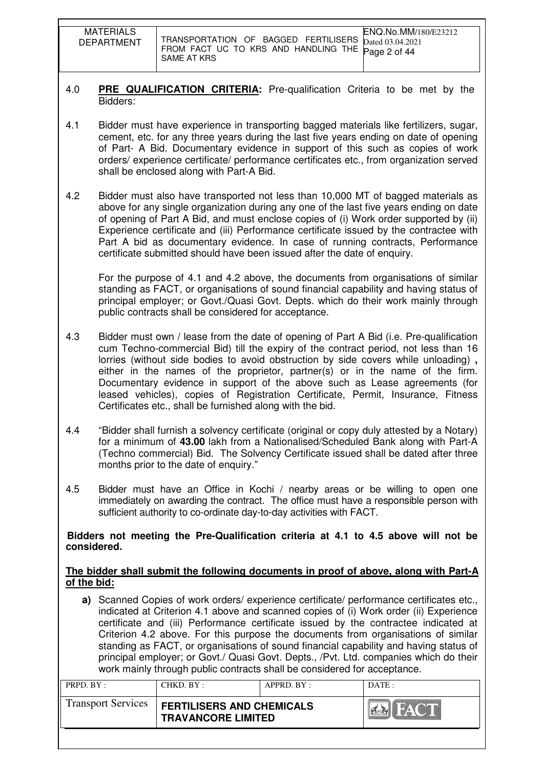| <b>MATERIALS</b><br><b>DEPARTMENT</b> | TRANSPORTATION OF BAGGED FERTILISERS $_{\text{Dated }03.04.2021}$<br>FROM FACT UC TO KRS AND HANDLING THE Page 2 of 44<br>SAME AT KRS | ENQ.No.MM/180/E23212 |
|---------------------------------------|---------------------------------------------------------------------------------------------------------------------------------------|----------------------|

#### 4.0 **PRE QUALIFICATION CRITERIA:** Pre-qualification Criteria to be met by the Bidders:

- 4.1 Bidder must have experience in transporting bagged materials like fertilizers, sugar, cement, etc. for any three years during the last five years ending on date of opening of Part- A Bid. Documentary evidence in support of this such as copies of work orders/ experience certificate/ performance certificates etc., from organization served shall be enclosed along with Part-A Bid.
- 4.2 Bidder must also have transported not less than 10,000 MT of bagged materials as above for any single organization during any one of the last five years ending on date of opening of Part A Bid, and must enclose copies of (i) Work order supported by (ii) Experience certificate and (iii) Performance certificate issued by the contractee with Part A bid as documentary evidence. In case of running contracts, Performance certificate submitted should have been issued after the date of enquiry.

For the purpose of 4.1 and 4.2 above, the documents from organisations of similar standing as FACT, or organisations of sound financial capability and having status of principal employer; or Govt./Quasi Govt. Depts. which do their work mainly through public contracts shall be considered for acceptance.

- 4.3 Bidder must own / lease from the date of opening of Part A Bid (i.e. Pre-qualification cum Techno-commercial Bid) till the expiry of the contract period, not less than 16 lorries (without side bodies to avoid obstruction by side covers while unloading) **,** either in the names of the proprietor, partner(s) or in the name of the firm. Documentary evidence in support of the above such as Lease agreements (for leased vehicles), copies of Registration Certificate, Permit, Insurance, Fitness Certificates etc., shall be furnished along with the bid.
- 4.4 "Bidder shall furnish a solvency certificate (original or copy duly attested by a Notary) for a minimum of **43.00** lakh from a Nationalised/Scheduled Bank along with Part-A (Techno commercial) Bid. The Solvency Certificate issued shall be dated after three months prior to the date of enquiry."
- 4.5 Bidder must have an Office in Kochi / nearby areas or be willing to open one immediately on awarding the contract. The office must have a responsible person with sufficient authority to co-ordinate day-to-day activities with FACT.

#### **Bidders not meeting the Pre-Qualification criteria at 4.1 to 4.5 above will not be considered.**

#### **The bidder shall submit the following documents in proof of above, along with Part-A of the bid:**

**a)** Scanned Copies of work orders/ experience certificate/ performance certificates etc., indicated at Criterion 4.1 above and scanned copies of (i) Work order (ii) Experience certificate and (iii) Performance certificate issued by the contractee indicated at Criterion 4.2 above. For this purpose the documents from organisations of similar standing as FACT, or organisations of sound financial capability and having status of principal employer; or Govt./ Quasi Govt. Depts., /Pvt. Ltd. companies which do their work mainly through public contracts shall be considered for acceptance.

| PRPD. BY:                 | CHKD. BY:                                                     | APPRD. BY: | DATE: |
|---------------------------|---------------------------------------------------------------|------------|-------|
| <b>Transport Services</b> | <b>FERTILISERS AND CHEMICALS</b><br><b>TRAVANCORE LIMITED</b> |            |       |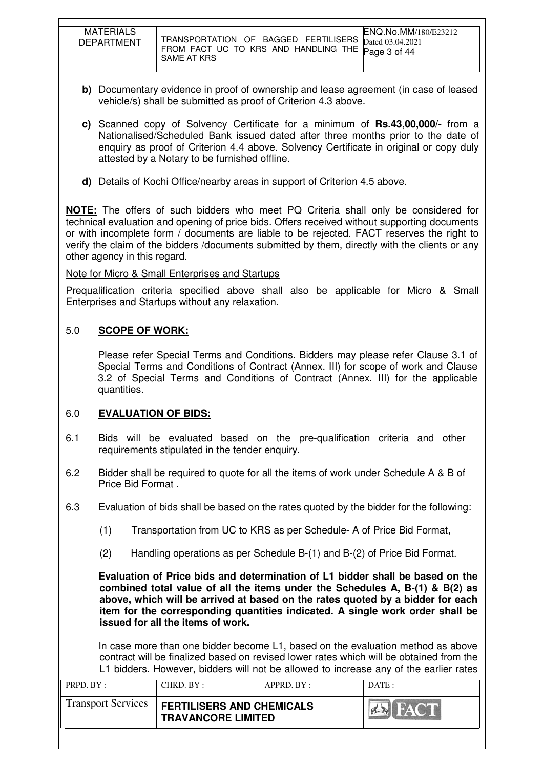| <b>MATERIALS</b><br><b>DEPARTMENT</b> | ENQ.No.MM/180/E23212<br>TRANSPORTATION OF BAGGED FERTILISERS Dated 03.04.2021<br>FROM FACT UC TO KRS AND HANDLING THE Page 3 of 44<br>SAME AT KRS |
|---------------------------------------|---------------------------------------------------------------------------------------------------------------------------------------------------|

- **b)** Documentary evidence in proof of ownership and lease agreement (in case of leased vehicle/s) shall be submitted as proof of Criterion 4.3 above.
- **c)** Scanned copy of Solvency Certificate for a minimum of **Rs.43,00,000/-** from a Nationalised/Scheduled Bank issued dated after three months prior to the date of enquiry as proof of Criterion 4.4 above. Solvency Certificate in original or copy duly attested by a Notary to be furnished offline.
- **d)** Details of Kochi Office/nearby areas in support of Criterion 4.5 above.

**NOTE:** The offers of such bidders who meet PQ Criteria shall only be considered for technical evaluation and opening of price bids. Offers received without supporting documents or with incomplete form / documents are liable to be rejected. FACT reserves the right to verify the claim of the bidders /documents submitted by them, directly with the clients or any other agency in this regard.

#### Note for Micro & Small Enterprises and Startups

Prequalification criteria specified above shall also be applicable for Micro & Small Enterprises and Startups without any relaxation.

### 5.0 **SCOPE OF WORK:**

Please refer Special Terms and Conditions. Bidders may please refer Clause 3.1 of Special Terms and Conditions of Contract (Annex. III) for scope of work and Clause 3.2 of Special Terms and Conditions of Contract (Annex. III) for the applicable quantities.

#### 6.0 **EVALUATION OF BIDS:**

- 6.1 Bids will be evaluated based on the pre-qualification criteria and other requirements stipulated in the tender enquiry.
- 6.2 Bidder shall be required to quote for all the items of work under Schedule A & B of Price Bid Format .
- 6.3 Evaluation of bids shall be based on the rates quoted by the bidder for the following:
	- (1) Transportation from UC to KRS as per Schedule- A of Price Bid Format,
	- (2) Handling operations as per Schedule B-(1) and B-(2) of Price Bid Format.

**Evaluation of Price bids and determination of L1 bidder shall be based on the combined total value of all the items under the Schedules A, B-(1) & B(2) as above, which will be arrived at based on the rates quoted by a bidder for each item for the corresponding quantities indicated. A single work order shall be issued for all the items of work.** 

In case more than one bidder become L1, based on the evaluation method as above contract will be finalized based on revised lower rates which will be obtained from the L1 bidders. However, bidders will not be allowed to increase any of the earlier rates

| PRPD. BY:                 | CHKD. BY:                                                     | APPRD. BY: | DATE:       |
|---------------------------|---------------------------------------------------------------|------------|-------------|
| <b>Transport Services</b> | <b>FERTILISERS AND CHEMICALS</b><br><b>TRAVANCORE LIMITED</b> |            | <b>FACT</b> |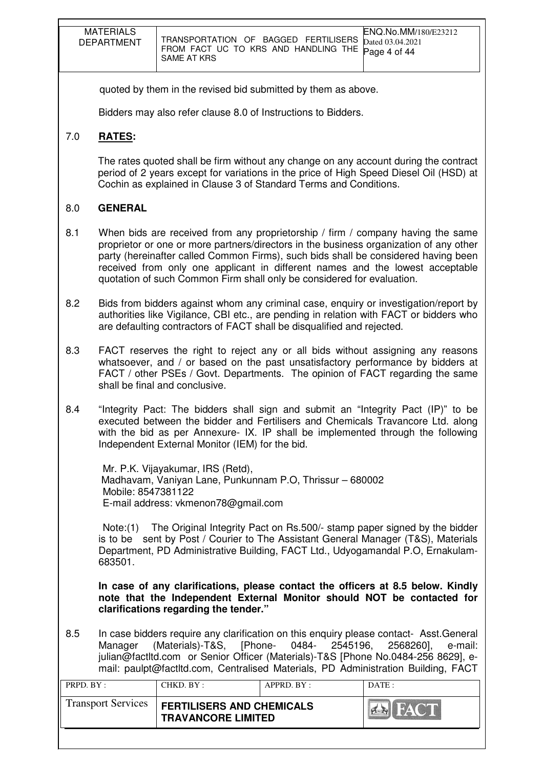| <b>MATERIALS</b><br><b>DEPARTMENT</b> | ENQ.No.MM/180/E23212<br>TRANSPORTATION OF BAGGED FERTILISERS $_{\text{Dated }03.04.2021}$<br>FROM FACT UC TO KRS AND HANDLING THE Page 4 of 44<br>SAME AT KRS |
|---------------------------------------|---------------------------------------------------------------------------------------------------------------------------------------------------------------|

quoted by them in the revised bid submitted by them as above.

Bidders may also refer clause 8.0 of Instructions to Bidders.

### 7.0 **RATES:**

The rates quoted shall be firm without any change on any account during the contract period of 2 years except for variations in the price of High Speed Diesel Oil (HSD) at Cochin as explained in Clause 3 of Standard Terms and Conditions.

#### 8.0 **GENERAL**

- 8.1 When bids are received from any proprietorship / firm / company having the same proprietor or one or more partners/directors in the business organization of any other party (hereinafter called Common Firms), such bids shall be considered having been received from only one applicant in different names and the lowest acceptable quotation of such Common Firm shall only be considered for evaluation.
- 8.2 Bids from bidders against whom any criminal case, enquiry or investigation/report by authorities like Vigilance, CBI etc., are pending in relation with FACT or bidders who are defaulting contractors of FACT shall be disqualified and rejected.
- 8.3 FACT reserves the right to reject any or all bids without assigning any reasons whatsoever, and / or based on the past unsatisfactory performance by bidders at FACT / other PSEs / Govt. Departments. The opinion of FACT regarding the same shall be final and conclusive.
- 8.4 "Integrity Pact: The bidders shall sign and submit an "Integrity Pact (IP)" to be executed between the bidder and Fertilisers and Chemicals Travancore Ltd. along with the bid as per Annexure- IX. IP shall be implemented through the following Independent External Monitor (IEM) for the bid.

 Mr. P.K. Vijayakumar, IRS (Retd), Madhavam, Vaniyan Lane, Punkunnam P.O, Thrissur – 680002 Mobile: 8547381122 E-mail address: vkmenon78@gmail.com

Note:(1) The Original Integrity Pact on Rs.500/- stamp paper signed by the bidder is to be sent by Post / Courier to The Assistant General Manager (T&S), Materials Department, PD Administrative Building, FACT Ltd., Udyogamandal P.O, Ernakulam-683501.

 **In case of any clarifications, please contact the officers at 8.5 below. Kindly note that the Independent External Monitor should NOT be contacted for clarifications regarding the tender."**

8.5 In case bidders require any clarification on this enquiry please contact- Asst.General Manager (Materials)-T&S, [Phone- 0484- 2545196, 2568260], e-mail: julian@factltd.com or Senior Officer (Materials)-T&S [Phone No.0484-256 8629], email: paulpt@factltd.com, Centralised Materials, PD Administration Building, FACT

| PRPD. BY:                 | CHKD. BY:                                                     | APPRD. BY: | DATE: |
|---------------------------|---------------------------------------------------------------|------------|-------|
| <b>Transport Services</b> | <b>FERTILISERS AND CHEMICALS</b><br><b>TRAVANCORE LIMITED</b> |            | HACT  |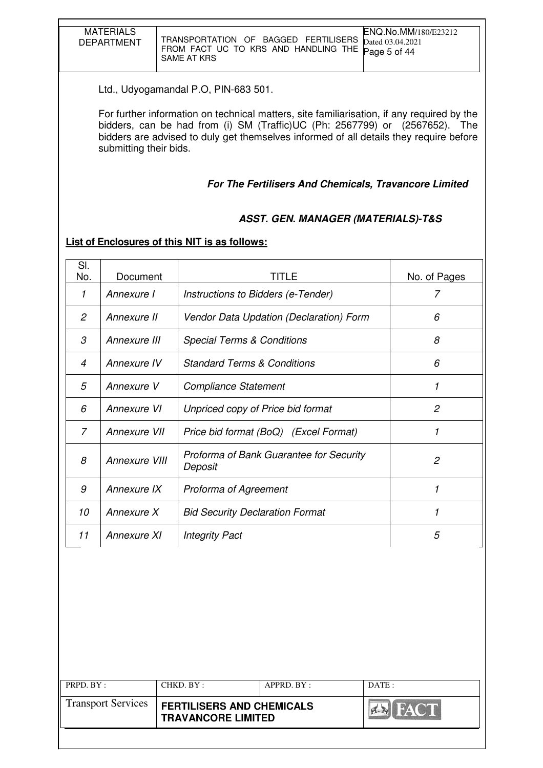| <b>MATERIALS</b><br><b>DEPARTMENT</b> | <b>ENQ.No.MM/180/E23212</b><br>TRANSPORTATION OF BAGGED FERTILISERS Dated 03.04.2021<br>FROM FACT UC TO KRS AND HANDLING THE Page 5 of 44<br>SAME AT KRS |
|---------------------------------------|----------------------------------------------------------------------------------------------------------------------------------------------------------|

Ltd., Udyogamandal P.O, PIN-683 501.

 For further information on technical matters, site familiarisation, if any required by the bidders, can be had from (i) SM (Traffic)UC (Ph: 2567799) or (2567652). The bidders are advised to duly get themselves informed of all details they require before submitting their bids.

#### **For The Fertilisers And Chemicals, Travancore Limited**

### **ASST. GEN. MANAGER (MATERIALS)-T&S**

### **List of Enclosures of this NIT is as follows:**

| SI.<br>No.     | Document      | <b>TITLE</b>                                       | No. of Pages   |
|----------------|---------------|----------------------------------------------------|----------------|
| 1              | Annexure I    | Instructions to Bidders (e-Tender)                 | 7              |
| $\overline{c}$ | Annexure II   | Vendor Data Updation (Declaration) Form            | 6              |
| 3              | Annexure III  | <b>Special Terms &amp; Conditions</b>              | 8              |
| $\overline{4}$ | Annexure IV   | <b>Standard Terms &amp; Conditions</b>             | 6              |
| 5              | Annexure V    | <b>Compliance Statement</b>                        | 1              |
| 6              | Annexure VI   | Unpriced copy of Price bid format                  | 2              |
| 7              | Annexure VII  | Price bid format (BoQ) (Excel Format)              | 1              |
| 8              | Annexure VIII | Proforma of Bank Guarantee for Security<br>Deposit | $\overline{c}$ |
| 9              | Annexure IX   | Proforma of Agreement                              | 1              |
| 10             | Annexure X    | <b>Bid Security Declaration Format</b>             | 1              |
| 11             | Annexure XI   | <b>Integrity Pact</b>                              | 5              |

| PRPD. BY:                 | CHKD. BY:                                                     | APPRD. BY: | DATE :                |
|---------------------------|---------------------------------------------------------------|------------|-----------------------|
| <b>Transport Services</b> | <b>FERTILISERS AND CHEMICALS</b><br><b>TRAVANCORE LIMITED</b> |            | <b>THE YAY ONE DE</b> |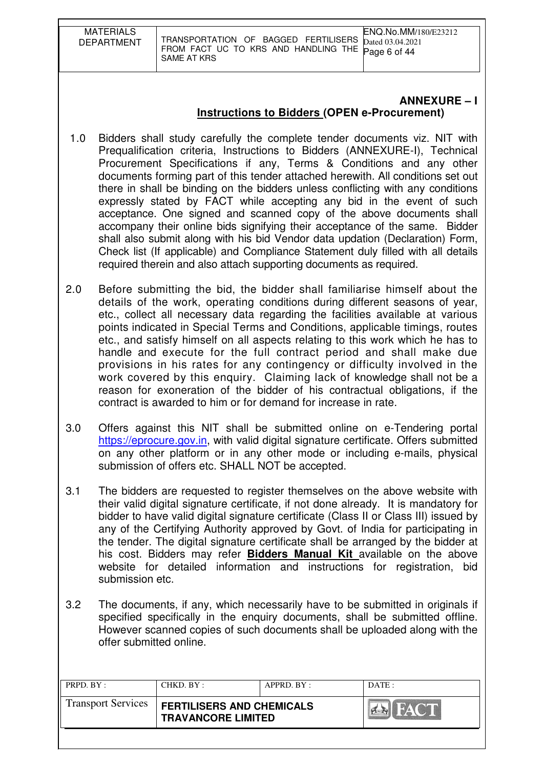| <b>MATERIALS</b><br><b>DEPARTMENT</b> | <b>ENQ.No.MM/180/E23212</b><br>TRANSPORTATION OF BAGGED FERTILISERS Dated 03.04.2021<br>FROM FACT UC TO KRS AND HANDLING THE Page 6 of 44<br>SAME AT KRS |
|---------------------------------------|----------------------------------------------------------------------------------------------------------------------------------------------------------|

## **ANNEXURE – I Instructions to Bidders (OPEN e-Procurement)**

- 1.0 Bidders shall study carefully the complete tender documents viz. NIT with Prequalification criteria, Instructions to Bidders (ANNEXURE-I), Technical Procurement Specifications if any, Terms & Conditions and any other documents forming part of this tender attached herewith. All conditions set out there in shall be binding on the bidders unless conflicting with any conditions expressly stated by FACT while accepting any bid in the event of such acceptance. One signed and scanned copy of the above documents shall accompany their online bids signifying their acceptance of the same. Bidder shall also submit along with his bid Vendor data updation (Declaration) Form, Check list (If applicable) and Compliance Statement duly filled with all details required therein and also attach supporting documents as required.
- 2.0 Before submitting the bid, the bidder shall familiarise himself about the details of the work, operating conditions during different seasons of year, etc., collect all necessary data regarding the facilities available at various points indicated in Special Terms and Conditions, applicable timings, routes etc., and satisfy himself on all aspects relating to this work which he has to handle and execute for the full contract period and shall make due provisions in his rates for any contingency or difficulty involved in the work covered by this enquiry. Claiming lack of knowledge shall not be a reason for exoneration of the bidder of his contractual obligations, if the contract is awarded to him or for demand for increase in rate.
- 3.0 Offers against this NIT shall be submitted online on e-Tendering portal https://eprocure.gov.in, with valid digital signature certificate. Offers submitted on any other platform or in any other mode or including e-mails, physical submission of offers etc. SHALL NOT be accepted.
- 3.1 The bidders are requested to register themselves on the above website with their valid digital signature certificate, if not done already. It is mandatory for bidder to have valid digital signature certificate (Class II or Class III) issued by any of the Certifying Authority approved by Govt. of India for participating in the tender. The digital signature certificate shall be arranged by the bidder at his cost. Bidders may refer **Bidders Manual Kit** available on the above website for detailed information and instructions for registration, bid submission etc.
- 3.2 The documents, if any, which necessarily have to be submitted in originals if specified specifically in the enquiry documents, shall be submitted offline. However scanned copies of such documents shall be uploaded along with the offer submitted online.

| PRPD. BY:                 | CHKD. BY :                                                    | $APPRD$ . $BY$ : | DATA                  |
|---------------------------|---------------------------------------------------------------|------------------|-----------------------|
| <b>Transport Services</b> | <b>FERTILISERS AND CHEMICALS</b><br><b>TRAVANCORE LIMITED</b> |                  | <b>HACT</b><br>$\sim$ |
|                           |                                                               |                  |                       |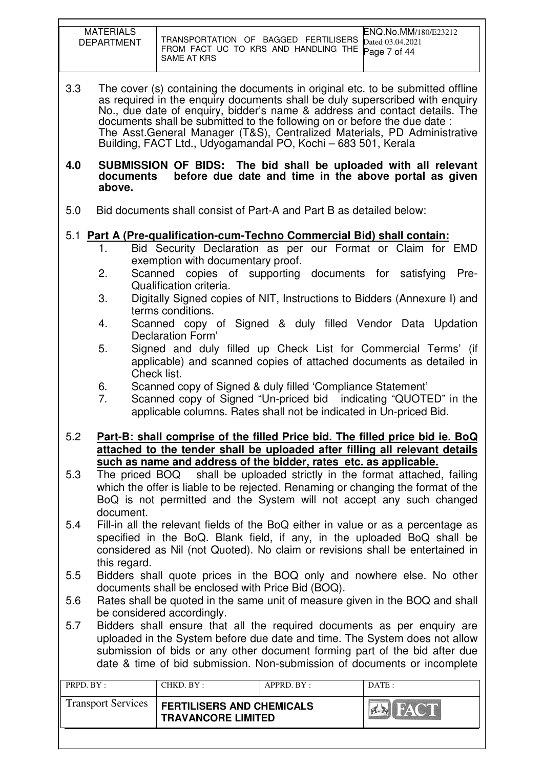| <b>MATERIALS</b><br><b>DEPARTMENT</b> | TRANSPORTATION OF BAGGED FERTILISERS Dated 03.04.2021<br>FROM FACT UC TO KRS AND HANDLING THE Page 7 of 44<br>SAME AT KRS | <b>ENQ.No.MM/180/E23212</b> |
|---------------------------------------|---------------------------------------------------------------------------------------------------------------------------|-----------------------------|

3.3 The cover (s) containing the documents in original etc. to be submitted offline as required in the enquiry documents shall be duly superscribed with enquiry No., due date of enquiry, bidder's name & address and contact details. The documents shall be submitted to the following on or before the due date : The Asst.General Manager (T&S), Centralized Materials, PD Administrative Building, FACT Ltd., Udyogamandal PO, Kochi – 683 501, Kerala

#### **4.0 SUBMISSION OF BIDS: The bid shall be uploaded with all relevant documents before due date and time in the above portal as given above.**

5.0 Bid documents shall consist of Part-A and Part B as detailed below:

# 5.1 **Part A (Pre-qualification-cum-Techno Commercial Bid) shall contain:**

- 1. Bid Security Declaration as per our Format or Claim for EMD exemption with documentary proof.
- 2. Scanned copies of supporting documents for satisfying Pre-Qualification criteria.
- 3. Digitally Signed copies of NIT, Instructions to Bidders (Annexure I) and terms conditions.
- 4. Scanned copy of Signed & duly filled Vendor Data Updation Declaration Form'
- 5. Signed and duly filled up Check List for Commercial Terms' (if applicable) and scanned copies of attached documents as detailed in Check list.
- 6. Scanned copy of Signed & duly filled 'Compliance Statement'
- 7. Scanned copy of Signed "Un-priced bid indicating "QUOTED" in the applicable columns. Rates shall not be indicated in Un-priced Bid.
- 5.2 **Part-B: shall comprise of the filled Price bid. The filled price bid ie. BoQ attached to the tender shall be uploaded after filling all relevant details such as name and address of the bidder, rates etc. as applicable.**
- 5.3 The priced BOQ shall be uploaded strictly in the format attached, failing which the offer is liable to be rejected. Renaming or changing the format of the BoQ is not permitted and the System will not accept any such changed document.
- 5.4 Fill-in all the relevant fields of the BoQ either in value or as a percentage as specified in the BoQ. Blank field, if any, in the uploaded BoQ shall be considered as Nil (not Quoted). No claim or revisions shall be entertained in this regard.
- 5.5 Bidders shall quote prices in the BOQ only and nowhere else. No other documents shall be enclosed with Price Bid (BOQ).
- 5.6 Rates shall be quoted in the same unit of measure given in the BOQ and shall be considered accordingly.
- 5.7 Bidders shall ensure that all the required documents as per enquiry are uploaded in the System before due date and time. The System does not allow submission of bids or any other document forming part of the bid after due date & time of bid submission. Non-submission of documents or incomplete

| PRPD. BY:                 | CHKD. BY:                                                     | APPRD. BY: | $\overline{DATE}$ : |
|---------------------------|---------------------------------------------------------------|------------|---------------------|
| <b>Transport Services</b> | <b>FERTILISERS AND CHEMICALS</b><br><b>TRAVANCORE LIMITED</b> |            |                     |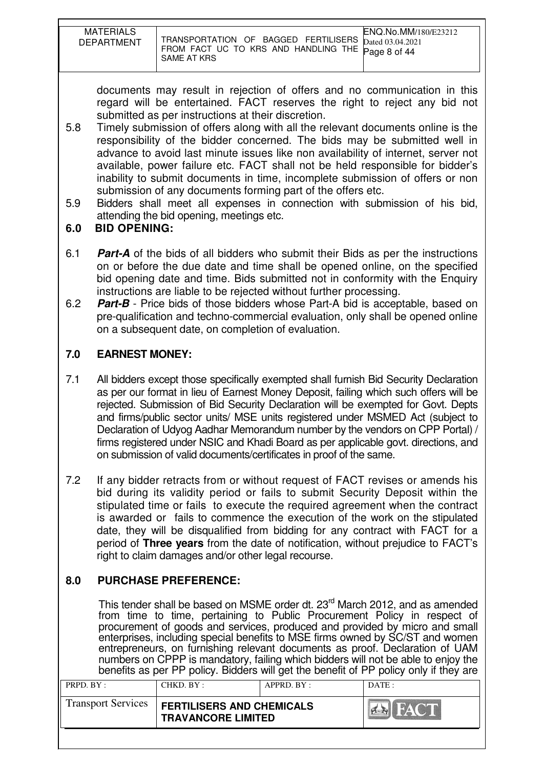| <b>MATERIALS</b><br><b>DEPARTMENT</b> | TRANSPORTATION OF BAGGED FERTILISERS Dated 03.04.2021<br>FROM FACT UC TO KRS AND HANDLING THE Page 8 of 44<br>SAME AT KRS | ENQ.No.MM/180/E23212 |
|---------------------------------------|---------------------------------------------------------------------------------------------------------------------------|----------------------|

documents may result in rejection of offers and no communication in this regard will be entertained. FACT reserves the right to reject any bid not submitted as per instructions at their discretion.

- 5.8 Timely submission of offers along with all the relevant documents online is the responsibility of the bidder concerned. The bids may be submitted well in advance to avoid last minute issues like non availability of internet, server not available, power failure etc. FACT shall not be held responsible for bidder's inability to submit documents in time, incomplete submission of offers or non submission of any documents forming part of the offers etc.
- 5.9 Bidders shall meet all expenses in connection with submission of his bid, attending the bid opening, meetings etc.
- **6.0 BID OPENING:**
- 6.1 **Part-A** of the bids of all bidders who submit their Bids as per the instructions on or before the due date and time shall be opened online, on the specified bid opening date and time. Bids submitted not in conformity with the Enquiry instructions are liable to be rejected without further processing.
- 6.2 **Part-B** Price bids of those bidders whose Part-A bid is acceptable, based on pre-qualification and techno-commercial evaluation, only shall be opened online on a subsequent date, on completion of evaluation.

# **7.0 EARNEST MONEY:**

- 7.1 All bidders except those specifically exempted shall furnish Bid Security Declaration as per our format in lieu of Earnest Money Deposit, failing which such offers will be rejected. Submission of Bid Security Declaration will be exempted for Govt. Depts and firms/public sector units/ MSE units registered under MSMED Act (subject to Declaration of Udyog Aadhar Memorandum number by the vendors on CPP Portal) / firms registered under NSIC and Khadi Board as per applicable govt. directions, and on submission of valid documents/certificates in proof of the same.
- 7.2 If any bidder retracts from or without request of FACT revises or amends his bid during its validity period or fails to submit Security Deposit within the stipulated time or fails to execute the required agreement when the contract is awarded or fails to commence the execution of the work on the stipulated date, they will be disqualified from bidding for any contract with FACT for a period of **Three years** from the date of notification, without prejudice to FACT's right to claim damages and/or other legal recourse.

# **8.0 PURCHASE PREFERENCE:**

This tender shall be based on MSME order dt. 23<sup>rd</sup> March 2012, and as amended from time to time, pertaining to Public Procurement Policy in respect of procurement of goods and services, produced and provided by micro and small enterprises, including special benefits to MSE firms owned by SC/ST and women entrepreneurs, on furnishing relevant documents as proof. Declaration of UAM numbers on CPPP is mandatory, failing which bidders will not be able to enjoy the benefits as per PP policy. Bidders will get the benefit of PP policy only if they are

| <b>Transport Services</b> | <b>FERTILISERS AND CHEMICALS</b><br><b>TRAVANCORE LIMITED</b> |  |  |
|---------------------------|---------------------------------------------------------------|--|--|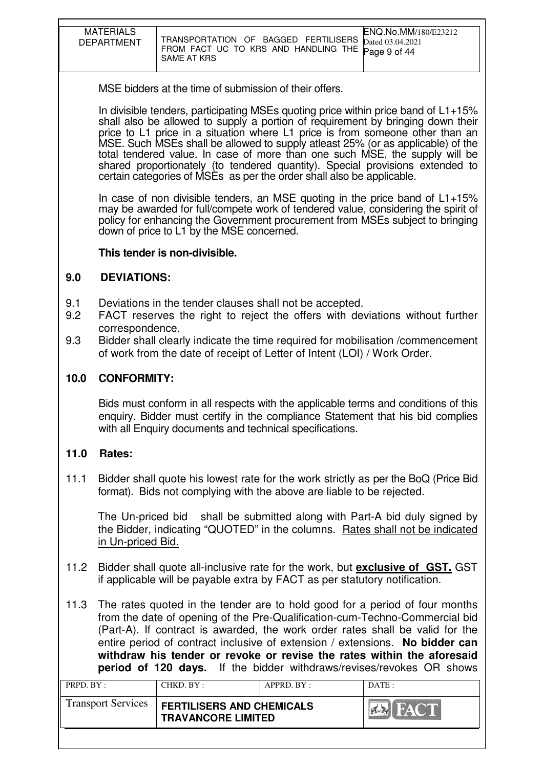| <b>MATERIALS</b><br><b>DEPARTMENT</b> | ENQ.No.MM/180/E23212<br>TRANSPORTATION OF BAGGED FERTILISERS Dated 03.04.2021<br>FROM FACT UC TO KRS AND HANDLING THE Page 9 of 44<br>SAME AT KRS |  |
|---------------------------------------|---------------------------------------------------------------------------------------------------------------------------------------------------|--|

MSE bidders at the time of submission of their offers.

In divisible tenders, participating MSEs quoting price within price band of  $L1+15%$ shall also be allowed to supply a portion of requirement by bringing down their price to L1 price in a situation where L1 price is from someone other than an MSE. Such MSEs shall be allowed to supply atleast 25% (or as applicable) of the total tendered value. In case of more than one such MSE, the supply will be shared proportionately (to tendered quantity). Special provisions extended to certain categories of MSEs as per the order shall also be applicable.

In case of non divisible tenders, an MSE quoting in the price band of  $L1+15%$ may be awarded for full/compete work of tendered value, considering the spirit of policy for enhancing the Government procurement from MSEs subject to bringing down of price to L1 by the MSE concerned.

## **This tender is non-divisible.**

# **9.0 DEVIATIONS:**

- 9.1 Deviations in the tender clauses shall not be accepted.
- 9.2 FACT reserves the right to reject the offers with deviations without further correspondence.
- 9.3 Bidder shall clearly indicate the time required for mobilisation /commencement of work from the date of receipt of Letter of Intent (LOI) / Work Order.

# **10.0 CONFORMITY:**

Bids must conform in all respects with the applicable terms and conditions of this enquiry. Bidder must certify in the compliance Statement that his bid complies with all Enquiry documents and technical specifications.

# **11.0 Rates:**

11.1 Bidder shall quote his lowest rate for the work strictly as per the BoQ (Price Bid format). Bids not complying with the above are liable to be rejected.

The Un-priced bid shall be submitted along with Part-A bid duly signed by the Bidder, indicating "QUOTED" in the columns. Rates shall not be indicated in Un-priced Bid.

- 11.2 Bidder shall quote all-inclusive rate for the work, but **exclusive of GST.** GST if applicable will be payable extra by FACT as per statutory notification.
- 11.3 The rates quoted in the tender are to hold good for a period of four months from the date of opening of the Pre-Qualification-cum-Techno-Commercial bid (Part-A). If contract is awarded, the work order rates shall be valid for the entire period of contract inclusive of extension / extensions. **No bidder can withdraw his tender or revoke or revise the rates within the aforesaid period of 120 days.** If the bidder withdraws/revises/revokes OR shows

| PRPD. BY:                 | CHKD. BY:                                                     | APPRD. BY: | DATE:       |
|---------------------------|---------------------------------------------------------------|------------|-------------|
| <b>Transport Services</b> | <b>FERTILISERS AND CHEMICALS</b><br><b>TRAVANCORE LIMITED</b> |            | <b>FACT</b> |
|                           |                                                               |            |             |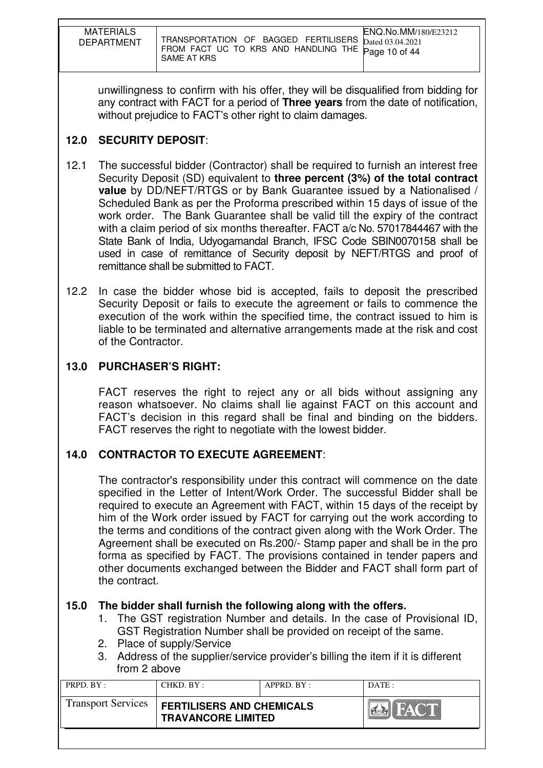| <b>MATERIALS</b><br>DEPARTMENT | ENQ.No.MM/180/E23212<br>TRANSPORTATION OF BAGGED FERTILISERS Dated 03.04.2021<br>FROM FACT UC TO KRS AND HANDLING THE Page 10 of 44<br>SAME AT KRS |
|--------------------------------|----------------------------------------------------------------------------------------------------------------------------------------------------|

unwillingness to confirm with his offer, they will be disqualified from bidding for any contract with FACT for a period of **Three years** from the date of notification, without prejudice to FACT's other right to claim damages.

# **12.0 SECURITY DEPOSIT**:

- 12.1 The successful bidder (Contractor) shall be required to furnish an interest free Security Deposit (SD) equivalent to **three percent (3%) of the total contract value** by DD/NEFT/RTGS or by Bank Guarantee issued by a Nationalised / Scheduled Bank as per the Proforma prescribed within 15 days of issue of the work order. The Bank Guarantee shall be valid till the expiry of the contract with a claim period of six months thereafter. FACT a/c No. 57017844467 with the State Bank of India, Udyogamandal Branch, IFSC Code SBIN0070158 shall be used in case of remittance of Security deposit by NEFT/RTGS and proof of remittance shall be submitted to FACT.
- 12.2 In case the bidder whose bid is accepted, fails to deposit the prescribed Security Deposit or fails to execute the agreement or fails to commence the execution of the work within the specified time, the contract issued to him is liable to be terminated and alternative arrangements made at the risk and cost of the Contractor.

# **13.0 PURCHASER'S RIGHT:**

 FACT reserves the right to reject any or all bids without assigning any reason whatsoever. No claims shall lie against FACT on this account and FACT's decision in this regard shall be final and binding on the bidders. FACT reserves the right to negotiate with the lowest bidder.

# **14.0 CONTRACTOR TO EXECUTE AGREEMENT**:

 The contractor's responsibility under this contract will commence on the date specified in the Letter of Intent/Work Order. The successful Bidder shall be required to execute an Agreement with FACT, within 15 days of the receipt by him of the Work order issued by FACT for carrying out the work according to the terms and conditions of the contract given along with the Work Order. The Agreement shall be executed on Rs.200/- Stamp paper and shall be in the pro forma as specified by FACT. The provisions contained in tender papers and other documents exchanged between the Bidder and FACT shall form part of the contract.

# **15.0 The bidder shall furnish the following along with the offers.**

- 1. The GST registration Number and details. In the case of Provisional ID, GST Registration Number shall be provided on receipt of the same.
- 2. Place of supply/Service
- 3. Address of the supplier/service provider's billing the item if it is different from 2 above

| PRPD. BY:                 | CHKD. BY:                                                     | APPRD. BY: | DATE: |
|---------------------------|---------------------------------------------------------------|------------|-------|
| <b>Transport Services</b> | <b>FERTILISERS AND CHEMICALS</b><br><b>TRAVANCORE LIMITED</b> |            | FACT  |
|                           |                                                               |            |       |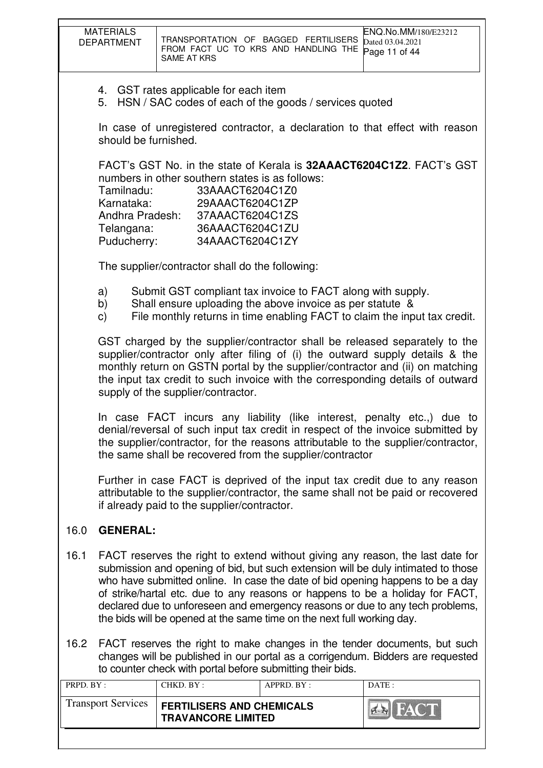|                   | <b>MATERIALS</b><br><b>DEPARTMENT</b>                                                                | <b>SAME AT KRS</b>                          | TRANSPORTATION OF BAGGED FERTILISERS<br>FROM FACT UC TO KRS AND HANDLING THE                                                                                                                                                                                                                                                                                                                                                                                                                      | ENQ.No.MM/180/E23212<br>Dated 03.04.2021<br>Page 11 of 44 |  |
|-------------------|------------------------------------------------------------------------------------------------------|---------------------------------------------|---------------------------------------------------------------------------------------------------------------------------------------------------------------------------------------------------------------------------------------------------------------------------------------------------------------------------------------------------------------------------------------------------------------------------------------------------------------------------------------------------|-----------------------------------------------------------|--|
|                   | 4. GST rates applicable for each item<br>5. HSN / SAC codes of each of the goods / services quoted   |                                             |                                                                                                                                                                                                                                                                                                                                                                                                                                                                                                   |                                                           |  |
|                   | In case of unregistered contractor, a declaration to that effect with reason<br>should be furnished. |                                             |                                                                                                                                                                                                                                                                                                                                                                                                                                                                                                   |                                                           |  |
|                   | Tamilnadu:<br>Karnataka:<br>Telangana:<br>Puducherry:                                                | Andhra Pradesh: 37AAACT6204C1ZS             | FACT's GST No. in the state of Kerala is 32AAACT6204C1Z2. FACT's GST<br>numbers in other southern states is as follows:<br>33AAACT6204C1Z0<br>29AAACT6204C1ZP<br>36AAACT6204C1ZU<br>34AAACT6204C1ZY                                                                                                                                                                                                                                                                                               |                                                           |  |
|                   |                                                                                                      |                                             | The supplier/contractor shall do the following:                                                                                                                                                                                                                                                                                                                                                                                                                                                   |                                                           |  |
|                   | a)<br>b)<br>$\mathsf{C}$                                                                             |                                             | Submit GST compliant tax invoice to FACT along with supply.<br>Shall ensure uploading the above invoice as per statute &<br>File monthly returns in time enabling FACT to claim the input tax credit.                                                                                                                                                                                                                                                                                             |                                                           |  |
|                   |                                                                                                      | supply of the supplier/contractor.          | GST charged by the supplier/contractor shall be released separately to the<br>supplier/contractor only after filing of (i) the outward supply details & the<br>monthly return on GSTN portal by the supplier/contractor and (ii) on matching<br>the input tax credit to such invoice with the corresponding details of outward                                                                                                                                                                    |                                                           |  |
|                   |                                                                                                      |                                             | In case FACT incurs any liability (like interest, penalty etc.,) due to<br>denial/reversal of such input tax credit in respect of the invoice submitted by<br>the supplier/contractor, for the reasons attributable to the supplier/contractor,<br>the same shall be recovered from the supplier/contractor                                                                                                                                                                                       |                                                           |  |
|                   |                                                                                                      | if already paid to the supplier/contractor. | Further in case FACT is deprived of the input tax credit due to any reason<br>attributable to the supplier/contractor, the same shall not be paid or recovered                                                                                                                                                                                                                                                                                                                                    |                                                           |  |
| 16.0              | <b>GENERAL:</b>                                                                                      |                                             |                                                                                                                                                                                                                                                                                                                                                                                                                                                                                                   |                                                           |  |
| 16.1              |                                                                                                      |                                             | FACT reserves the right to extend without giving any reason, the last date for<br>submission and opening of bid, but such extension will be duly intimated to those<br>who have submitted online. In case the date of bid opening happens to be a day<br>of strike/hartal etc. due to any reasons or happens to be a holiday for FACT,<br>declared due to unforeseen and emergency reasons or due to any tech problems,<br>the bids will be opened at the same time on the next full working day. |                                                           |  |
| 16.2              |                                                                                                      |                                             | FACT reserves the right to make changes in the tender documents, but such<br>changes will be published in our portal as a corrigendum. Bidders are requested<br>to counter check with portal before submitting their bids.                                                                                                                                                                                                                                                                        |                                                           |  |
| $PRPD$ $RY \cdot$ |                                                                                                      | $CHKD$ <sub>RY</sub> $\cdot$                | $APPRD$ R $V$                                                                                                                                                                                                                                                                                                                                                                                                                                                                                     | $I$ DATE $\cdot$                                          |  |

| PRPD. BY :-               | CHKD. BY:                                                     | $APPRD$ . $BY$ : | DATE: |
|---------------------------|---------------------------------------------------------------|------------------|-------|
| <b>Transport Services</b> | <b>FERTILISERS AND CHEMICALS</b><br><b>TRAVANCORE LIMITED</b> |                  | HACT  |
|                           |                                                               |                  |       |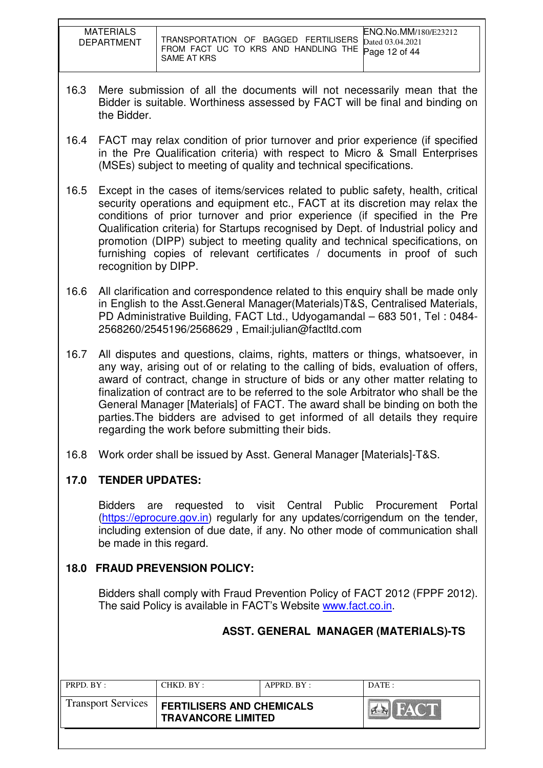| <b>MATERIALS</b><br><b>DEPARTMENT</b> | ENQ.No.MM/180/E23212<br>TRANSPORTATION OF BAGGED FERTILISERS<br>Dated 03.04.2021<br>FROM FACT UC TO KRS AND HANDLING THE Page 12 of 44<br>SAME AT KRS |
|---------------------------------------|-------------------------------------------------------------------------------------------------------------------------------------------------------|

- 16.3 Mere submission of all the documents will not necessarily mean that the Bidder is suitable. Worthiness assessed by FACT will be final and binding on the Bidder.
- 16.4 FACT may relax condition of prior turnover and prior experience (if specified in the Pre Qualification criteria) with respect to Micro & Small Enterprises (MSEs) subject to meeting of quality and technical specifications.
- 16.5 Except in the cases of items/services related to public safety, health, critical security operations and equipment etc., FACT at its discretion may relax the conditions of prior turnover and prior experience (if specified in the Pre Qualification criteria) for Startups recognised by Dept. of Industrial policy and promotion (DIPP) subject to meeting quality and technical specifications, on furnishing copies of relevant certificates / documents in proof of such recognition by DIPP.
- 16.6 All clarification and correspondence related to this enquiry shall be made only in English to the Asst.General Manager(Materials)T&S, Centralised Materials, PD Administrative Building, FACT Ltd., Udyogamandal – 683 501, Tel : 0484- 2568260/2545196/2568629 , Email:julian@factltd.com
- 16.7 All disputes and questions, claims, rights, matters or things, whatsoever, in any way, arising out of or relating to the calling of bids, evaluation of offers, award of contract, change in structure of bids or any other matter relating to finalization of contract are to be referred to the sole Arbitrator who shall be the General Manager [Materials] of FACT. The award shall be binding on both the parties.The bidders are advised to get informed of all details they require regarding the work before submitting their bids.
- 16.8 Work order shall be issued by Asst. General Manager [Materials]-T&S.

# **17.0 TENDER UPDATES:**

Bidders are requested to visit Central Public Procurement Portal (https://eprocure.gov.in) regularly for any updates/corrigendum on the tender, including extension of due date, if any. No other mode of communication shall be made in this regard.

# **18.0 FRAUD PREVENSION POLICY:**

Bidders shall comply with Fraud Prevention Policy of FACT 2012 (FPPF 2012). The said Policy is available in FACT's Website www.fact.co.in.

|                           |                                                               |                | ASST. GENERAL MANAGER (MATERIALS)-TS |
|---------------------------|---------------------------------------------------------------|----------------|--------------------------------------|
| PRPD. BY:                 | CHKD. BY :                                                    | APPRD. BY :    | DATE :                               |
| <b>Transport Services</b> | <b>FERTILISERS AND CHEMICALS</b><br><b>TRAVANCORE LIMITED</b> | <b>EN FACT</b> |                                      |
|                           |                                                               |                |                                      |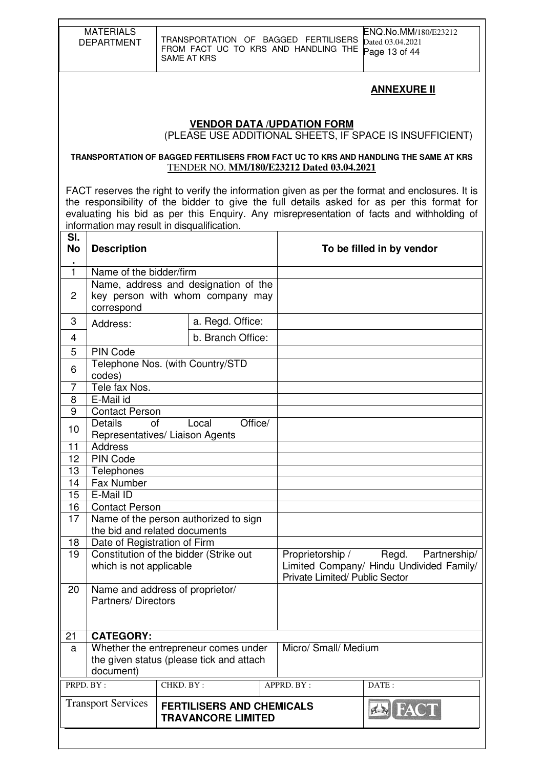|                                                                                | <b>MATERIALS</b><br><b>DEPARTMENT</b>                                                                                                                                                                              | ENQ.No.MM/180/E23212<br>TRANSPORTATION OF BAGGED FERTILISERS<br>Dated 03.04.2021<br>FROM FACT UC TO KRS AND HANDLING THE<br>Page 13 of 44<br><b>SAME AT KRS</b> |         |            |                                                                                                                                                                                                                                                                                            |  |  |
|--------------------------------------------------------------------------------|--------------------------------------------------------------------------------------------------------------------------------------------------------------------------------------------------------------------|-----------------------------------------------------------------------------------------------------------------------------------------------------------------|---------|------------|--------------------------------------------------------------------------------------------------------------------------------------------------------------------------------------------------------------------------------------------------------------------------------------------|--|--|
|                                                                                | <u>ANNEXURE II</u><br><b>VENDOR DATA /UPDATION FORM</b>                                                                                                                                                            |                                                                                                                                                                 |         |            |                                                                                                                                                                                                                                                                                            |  |  |
|                                                                                |                                                                                                                                                                                                                    |                                                                                                                                                                 |         |            | (PLEASE USE ADDITIONAL SHEETS, IF SPACE IS INSUFFICIENT)                                                                                                                                                                                                                                   |  |  |
|                                                                                | TRANSPORTATION OF BAGGED FERTILISERS FROM FACT UC TO KRS AND HANDLING THE SAME AT KRS<br>TENDER NO. MM/180/E23212 Dated 03.04.2021                                                                                 |                                                                                                                                                                 |         |            |                                                                                                                                                                                                                                                                                            |  |  |
|                                                                                |                                                                                                                                                                                                                    | information may result in disqualification.                                                                                                                     |         |            | FACT reserves the right to verify the information given as per the format and enclosures. It is<br>the responsibility of the bidder to give the full details asked for as per this format for<br>evaluating his bid as per this Enquiry. Any misrepresentation of facts and withholding of |  |  |
| SI.<br>No<br><b>Description</b><br>To be filled in by vendor<br>$\blacksquare$ |                                                                                                                                                                                                                    |                                                                                                                                                                 |         |            |                                                                                                                                                                                                                                                                                            |  |  |
| $\mathbf{1}$<br>2                                                              | Name of the bidder/firm<br>correspond                                                                                                                                                                              | Name, address and designation of the<br>key person with whom company may                                                                                        |         |            |                                                                                                                                                                                                                                                                                            |  |  |
| 3                                                                              | Address:                                                                                                                                                                                                           | a. Regd. Office:                                                                                                                                                |         |            |                                                                                                                                                                                                                                                                                            |  |  |
| 4                                                                              | b. Branch Office:                                                                                                                                                                                                  |                                                                                                                                                                 |         |            |                                                                                                                                                                                                                                                                                            |  |  |
| 5<br><b>PIN Code</b><br>Telephone Nos. (with Country/STD<br>6<br>codes)        |                                                                                                                                                                                                                    |                                                                                                                                                                 |         |            |                                                                                                                                                                                                                                                                                            |  |  |
| 7<br>8                                                                         | Tele fax Nos.<br>E-Mail id                                                                                                                                                                                         |                                                                                                                                                                 |         |            |                                                                                                                                                                                                                                                                                            |  |  |
| 9                                                                              | <b>Contact Person</b>                                                                                                                                                                                              |                                                                                                                                                                 |         |            |                                                                                                                                                                                                                                                                                            |  |  |
| 10<br>11                                                                       | <b>Details</b><br>οf<br><b>Address</b>                                                                                                                                                                             | Local<br>Representatives/ Liaison Agents                                                                                                                        | Office/ |            |                                                                                                                                                                                                                                                                                            |  |  |
| 12                                                                             | <b>PIN Code</b>                                                                                                                                                                                                    |                                                                                                                                                                 |         |            |                                                                                                                                                                                                                                                                                            |  |  |
| 13                                                                             | Telephones                                                                                                                                                                                                         |                                                                                                                                                                 |         |            |                                                                                                                                                                                                                                                                                            |  |  |
| 14<br>15                                                                       | Fax Number<br>E-Mail ID                                                                                                                                                                                            |                                                                                                                                                                 |         |            |                                                                                                                                                                                                                                                                                            |  |  |
| 16                                                                             | <b>Contact Person</b>                                                                                                                                                                                              |                                                                                                                                                                 |         |            |                                                                                                                                                                                                                                                                                            |  |  |
| 17                                                                             |                                                                                                                                                                                                                    | Name of the person authorized to sign                                                                                                                           |         |            |                                                                                                                                                                                                                                                                                            |  |  |
|                                                                                |                                                                                                                                                                                                                    | the bid and related documents                                                                                                                                   |         |            |                                                                                                                                                                                                                                                                                            |  |  |
| 19                                                                             | Date of Registration of Firm<br>18<br>Constitution of the bidder (Strike out<br>Proprietorship /<br>Regd.<br>which is not applicable<br>Limited Company/ Hindu Undivided Family/<br>Private Limited/ Public Sector |                                                                                                                                                                 |         |            | Partnership/                                                                                                                                                                                                                                                                               |  |  |
| 20                                                                             | Name and address of proprietor/<br><b>Partners/Directors</b>                                                                                                                                                       |                                                                                                                                                                 |         |            |                                                                                                                                                                                                                                                                                            |  |  |
| 21                                                                             | <b>CATEGORY:</b>                                                                                                                                                                                                   |                                                                                                                                                                 |         |            |                                                                                                                                                                                                                                                                                            |  |  |
| a                                                                              | Micro/ Small/ Medium<br>Whether the entrepreneur comes under<br>the given status (please tick and attach<br>document)                                                                                              |                                                                                                                                                                 |         |            |                                                                                                                                                                                                                                                                                            |  |  |
| PRPD. BY:                                                                      |                                                                                                                                                                                                                    | CHKD. BY:                                                                                                                                                       |         | APPRD. BY: | DATE:                                                                                                                                                                                                                                                                                      |  |  |
|                                                                                | <b>Transport Services</b>                                                                                                                                                                                          | <b>FERTILISERS AND CHEMICALS</b><br><b>TRAVANCORE LIMITED</b>                                                                                                   |         |            | I FAC                                                                                                                                                                                                                                                                                      |  |  |
|                                                                                |                                                                                                                                                                                                                    |                                                                                                                                                                 |         |            |                                                                                                                                                                                                                                                                                            |  |  |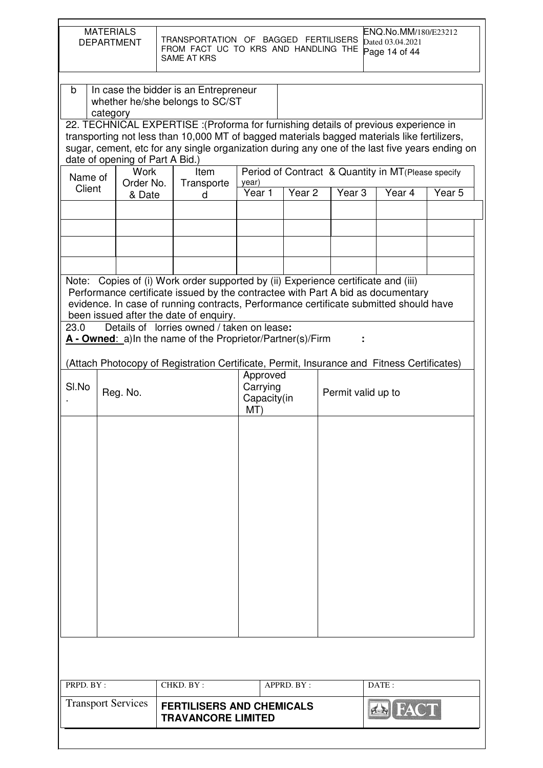|                                                                                                                                                                                                                                                                                                                                                                                                                                   | <b>MATERIALS</b><br>ENQ.No.MM/180/E23212<br>TRANSPORTATION OF BAGGED FERTILISERS<br><b>DEPARTMENT</b><br>Dated 03.04.2021<br>FROM FACT UC TO KRS AND HANDLING THE<br>Page 14 of 44<br><b>SAME AT KRS</b> |                                                                                            |                                            |                   |                                                                          |             |                   |
|-----------------------------------------------------------------------------------------------------------------------------------------------------------------------------------------------------------------------------------------------------------------------------------------------------------------------------------------------------------------------------------------------------------------------------------|----------------------------------------------------------------------------------------------------------------------------------------------------------------------------------------------------------|--------------------------------------------------------------------------------------------|--------------------------------------------|-------------------|--------------------------------------------------------------------------|-------------|-------------------|
| In case the bidder is an Entrepreneur<br>b<br>whether he/she belongs to SC/ST<br>category<br>22. TECHNICAL EXPERTISE :(Proforma for furnishing details of previous experience in<br>transporting not less than 10,000 MT of bagged materials bagged materials like fertilizers,<br>sugar, cement, etc for any single organization during any one of the last five years ending on<br>date of opening of Part A Bid.)              |                                                                                                                                                                                                          |                                                                                            |                                            |                   |                                                                          |             |                   |
| Name of<br>Client                                                                                                                                                                                                                                                                                                                                                                                                                 | <b>Work</b><br>Order No.<br>& Date                                                                                                                                                                       | Item<br>Transporte<br>d                                                                    | year)<br>Year 1                            | Year <sub>2</sub> | Period of Contract & Quantity in MT (Please specify<br>Year <sub>3</sub> | Year 4      | Year <sub>5</sub> |
|                                                                                                                                                                                                                                                                                                                                                                                                                                   |                                                                                                                                                                                                          |                                                                                            |                                            |                   |                                                                          |             |                   |
|                                                                                                                                                                                                                                                                                                                                                                                                                                   |                                                                                                                                                                                                          |                                                                                            |                                            |                   |                                                                          |             |                   |
| Note: Copies of (i) Work order supported by (ii) Experience certificate and (iii)<br>Performance certificate issued by the contractee with Part A bid as documentary<br>evidence. In case of running contracts, Performance certificate submitted should have<br>been issued after the date of enquiry.<br>Details of lorries owned / taken on lease:<br>23.0<br>A - Owned: a) In the name of the Proprietor/Partner(s)/Firm<br>÷ |                                                                                                                                                                                                          |                                                                                            |                                            |                   |                                                                          |             |                   |
| SI.No                                                                                                                                                                                                                                                                                                                                                                                                                             | Reg. No.                                                                                                                                                                                                 | (Attach Photocopy of Registration Certificate, Permit, Insurance and Fitness Certificates) | Approved<br>Carrying<br>Capacity(in<br>MT) |                   | Permit valid up to                                                       |             |                   |
|                                                                                                                                                                                                                                                                                                                                                                                                                                   |                                                                                                                                                                                                          |                                                                                            |                                            |                   |                                                                          |             |                   |
|                                                                                                                                                                                                                                                                                                                                                                                                                                   |                                                                                                                                                                                                          |                                                                                            |                                            |                   |                                                                          |             |                   |
|                                                                                                                                                                                                                                                                                                                                                                                                                                   |                                                                                                                                                                                                          |                                                                                            |                                            |                   |                                                                          |             |                   |
|                                                                                                                                                                                                                                                                                                                                                                                                                                   |                                                                                                                                                                                                          |                                                                                            |                                            |                   |                                                                          |             |                   |
|                                                                                                                                                                                                                                                                                                                                                                                                                                   |                                                                                                                                                                                                          |                                                                                            |                                            |                   |                                                                          |             |                   |
|                                                                                                                                                                                                                                                                                                                                                                                                                                   |                                                                                                                                                                                                          |                                                                                            |                                            |                   |                                                                          |             |                   |
| PRPD. BY:                                                                                                                                                                                                                                                                                                                                                                                                                         |                                                                                                                                                                                                          | CHKD. BY:                                                                                  |                                            | APPRD. BY:        |                                                                          | DATE:       |                   |
|                                                                                                                                                                                                                                                                                                                                                                                                                                   | <b>Transport Services</b>                                                                                                                                                                                | <b>FERTILISERS AND CHEMICALS</b><br><b>TRAVANCORE LIMITED</b>                              |                                            |                   |                                                                          | <b>FACT</b> |                   |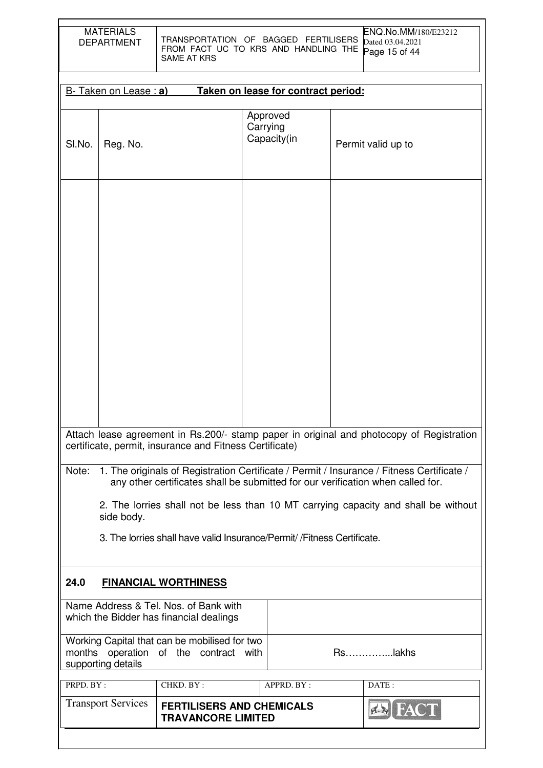|                                                                                                                                                                                                                                                                                                                                                                                                                                                  | <b>MATERIALS</b><br>ENQ.No.MM/180/E23212<br>TRANSPORTATION OF BAGGED FERTILISERS<br><b>DEPARTMENT</b><br>Dated 03.04.2021<br>FROM FACT UC TO KRS AND HANDLING THE<br>Page 15 of 44<br><b>SAME AT KRS</b> |                                                                                            |                                     |                                     |  |                    |  |
|--------------------------------------------------------------------------------------------------------------------------------------------------------------------------------------------------------------------------------------------------------------------------------------------------------------------------------------------------------------------------------------------------------------------------------------------------|----------------------------------------------------------------------------------------------------------------------------------------------------------------------------------------------------------|--------------------------------------------------------------------------------------------|-------------------------------------|-------------------------------------|--|--------------------|--|
|                                                                                                                                                                                                                                                                                                                                                                                                                                                  | B- Taken on Lease : a)                                                                                                                                                                                   |                                                                                            |                                     | Taken on lease for contract period: |  |                    |  |
| SI.No.                                                                                                                                                                                                                                                                                                                                                                                                                                           | Reg. No.                                                                                                                                                                                                 |                                                                                            | Approved<br>Carrying<br>Capacity(in |                                     |  | Permit valid up to |  |
|                                                                                                                                                                                                                                                                                                                                                                                                                                                  |                                                                                                                                                                                                          |                                                                                            |                                     |                                     |  |                    |  |
| Attach lease agreement in Rs.200/- stamp paper in original and photocopy of Registration<br>certificate, permit, insurance and Fitness Certificate)<br>1. The originals of Registration Certificate / Permit / Insurance / Fitness Certificate /<br>Note:<br>any other certificates shall be submitted for our verification when called for.<br>2. The lorries shall not be less than 10 MT carrying capacity and shall be without<br>side body. |                                                                                                                                                                                                          |                                                                                            |                                     |                                     |  |                    |  |
|                                                                                                                                                                                                                                                                                                                                                                                                                                                  | 3. The lorries shall have valid Insurance/Permit/ / Fitness Certificate.                                                                                                                                 |                                                                                            |                                     |                                     |  |                    |  |
| 24.0<br><b>FINANCIAL WORTHINESS</b>                                                                                                                                                                                                                                                                                                                                                                                                              |                                                                                                                                                                                                          |                                                                                            |                                     |                                     |  |                    |  |
| Name Address & Tel. Nos. of Bank with<br>which the Bidder has financial dealings                                                                                                                                                                                                                                                                                                                                                                 |                                                                                                                                                                                                          |                                                                                            |                                     |                                     |  |                    |  |
|                                                                                                                                                                                                                                                                                                                                                                                                                                                  | Working Capital that can be mobilised for two<br>Rslakhs<br>months operation of the contract with<br>supporting details                                                                                  |                                                                                            |                                     |                                     |  |                    |  |
| PRPD. BY:                                                                                                                                                                                                                                                                                                                                                                                                                                        |                                                                                                                                                                                                          | CHKD. BY:                                                                                  |                                     | APPRD. BY:                          |  | DATE:              |  |
|                                                                                                                                                                                                                                                                                                                                                                                                                                                  |                                                                                                                                                                                                          | <b>Transport Services</b><br><b>FERTILISERS AND CHEMICALS</b><br><b>TRAVANCORE LIMITED</b> |                                     |                                     |  |                    |  |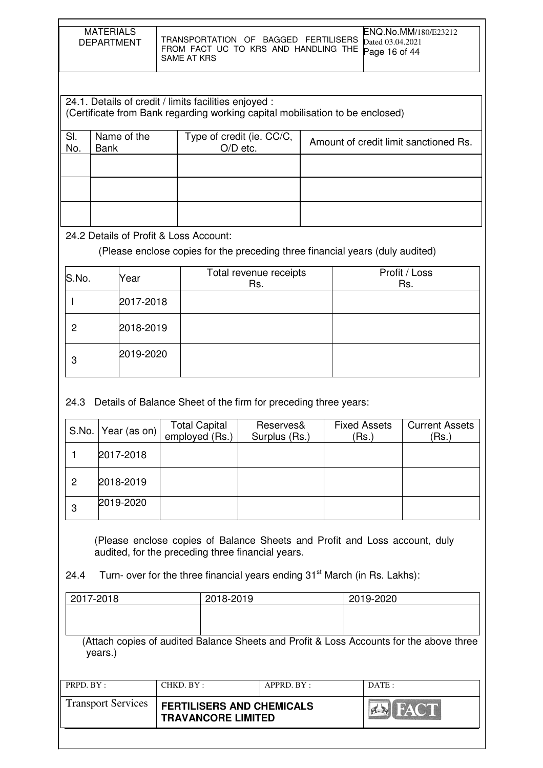| <b>MATERIALS</b><br><b>DEPARTMENT</b> | ENQ.No.MM/180/E23212<br>TRANSPORTATION OF BAGGED FERTILISERS Dated 03.04.2021<br>FROM FACT UC TO KRS AND HANDLING THE Page 16 of 44<br>SAME AT KRS |
|---------------------------------------|----------------------------------------------------------------------------------------------------------------------------------------------------|
|                                       |                                                                                                                                                    |

|            | 24.1. Details of credit / limits facilities enjoyed :<br>(Certificate from Bank regarding working capital mobilisation to be enclosed) |  |  |  |  |  |  |
|------------|----------------------------------------------------------------------------------------------------------------------------------------|--|--|--|--|--|--|
|            |                                                                                                                                        |  |  |  |  |  |  |
| SI.<br>No. | Name of the<br>Type of credit (ie. CC/C,<br>Amount of credit limit sanctioned Rs.                                                      |  |  |  |  |  |  |
|            | $O/D$ etc.<br><b>Bank</b>                                                                                                              |  |  |  |  |  |  |
|            |                                                                                                                                        |  |  |  |  |  |  |
|            |                                                                                                                                        |  |  |  |  |  |  |
|            |                                                                                                                                        |  |  |  |  |  |  |
|            |                                                                                                                                        |  |  |  |  |  |  |
|            |                                                                                                                                        |  |  |  |  |  |  |
|            |                                                                                                                                        |  |  |  |  |  |  |

24.2 Details of Profit & Loss Account:

(Please enclose copies for the preceding three financial years (duly audited)

| S.No. | Year      | Total revenue receipts<br>Rs. | Profit / Loss<br>Rs. |
|-------|-----------|-------------------------------|----------------------|
|       | 2017-2018 |                               |                      |
| 2     | 2018-2019 |                               |                      |
| 3     | 2019-2020 |                               |                      |

24.3 Details of Balance Sheet of the firm for preceding three years:

|   | S.No.   Year (as on) | <b>Total Capital</b><br>employed (Rs.) | Reserves&<br>Surplus (Rs.) | <b>Fixed Assets</b><br>(Rs.) | <b>Current Assets</b><br>(Rs.) |
|---|----------------------|----------------------------------------|----------------------------|------------------------------|--------------------------------|
|   | 2017-2018            |                                        |                            |                              |                                |
| 2 | 2018-2019            |                                        |                            |                              |                                |
| 3 | 2019-2020            |                                        |                            |                              |                                |

 (Please enclose copies of Balance Sheets and Profit and Loss account, duly audited, for the preceding three financial years.

24.4 Turn- over for the three financial years ending  $31<sup>st</sup>$  March (in Rs. Lakhs):

| <b>Transport Services</b> |           | <b>FERTILISERS AND CHEMICALS</b><br><b>TRAVANCORE LIMITED</b> |  | <b>BI</b> FACT                                                                          |
|---------------------------|-----------|---------------------------------------------------------------|--|-----------------------------------------------------------------------------------------|
| PRPD. BY:                 | CHKD. BY: | APPRD. BY:                                                    |  | DATE:                                                                                   |
| years.)                   |           |                                                               |  | (Attach copies of audited Balance Sheets and Profit & Loss Accounts for the above three |
|                           |           |                                                               |  |                                                                                         |
| 2017-2018                 |           | 2018-2019                                                     |  | 2019-2020                                                                               |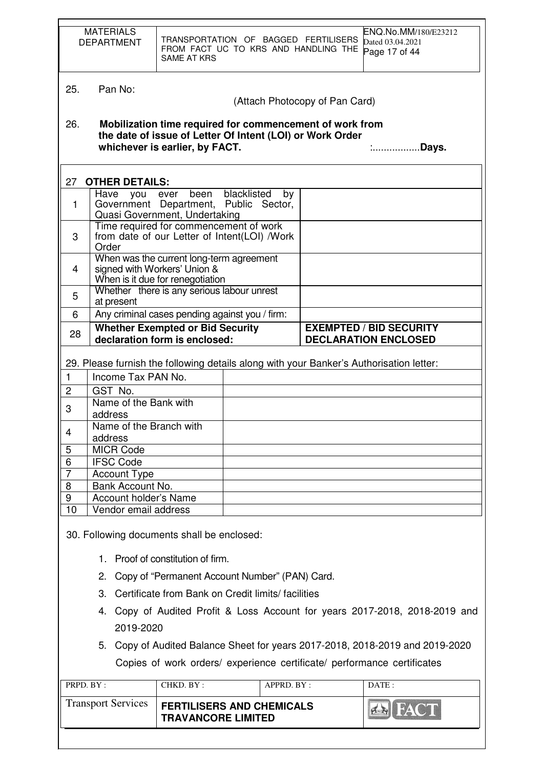|                | <b>MATERIALS</b><br><b>DEPARTMENT</b>                                                    | <b>SAME AT KRS</b>                                                                                           | TRANSPORTATION OF BAGGED FERTILISERS                            | FROM FACT UC TO KRS AND HANDLING THE                                                                                  | ENQ.No.MM/180/E23212<br>Dated 03.04.2021<br>Page 17 of 44                               |  |
|----------------|------------------------------------------------------------------------------------------|--------------------------------------------------------------------------------------------------------------|-----------------------------------------------------------------|-----------------------------------------------------------------------------------------------------------------------|-----------------------------------------------------------------------------------------|--|
| 25.            | Pan No:                                                                                  |                                                                                                              |                                                                 |                                                                                                                       |                                                                                         |  |
|                | (Attach Photocopy of Pan Card)                                                           |                                                                                                              |                                                                 |                                                                                                                       |                                                                                         |  |
| 26.            |                                                                                          | whichever is earlier, by FACT.                                                                               |                                                                 | Mobilization time required for commencement of work from<br>the date of issue of Letter Of Intent (LOI) or Work Order | .Days.                                                                                  |  |
| 27             | <b>OTHER DETAILS:</b>                                                                    |                                                                                                              |                                                                 |                                                                                                                       |                                                                                         |  |
| 1              | Have<br>you ever                                                                         | Quasi Government, Undertaking                                                                                | been blacklisted<br>by<br>Government Department, Public Sector, |                                                                                                                       |                                                                                         |  |
| 3              | Order                                                                                    | Time required for commencement of work                                                                       | from date of our Letter of Intent(LOI) /Work                    |                                                                                                                       |                                                                                         |  |
| 4              |                                                                                          | When was the current long-term agreement<br>signed with Workers' Union &<br>When is it due for renegotiation |                                                                 |                                                                                                                       |                                                                                         |  |
| 5              | at present                                                                               | Whether there is any serious labour unrest                                                                   |                                                                 |                                                                                                                       |                                                                                         |  |
| 6              |                                                                                          |                                                                                                              | Any criminal cases pending against you / firm:                  |                                                                                                                       |                                                                                         |  |
| 28             |                                                                                          | <b>Whether Exempted or Bid Security</b><br>declaration form is enclosed:                                     |                                                                 |                                                                                                                       | <b>EXEMPTED / BID SECURITY</b><br><b>DECLARATION ENCLOSED</b>                           |  |
|                |                                                                                          |                                                                                                              |                                                                 |                                                                                                                       | 29. Please furnish the following details along with your Banker's Authorisation letter: |  |
| $\mathbf{1}$   | Income Tax PAN No.                                                                       |                                                                                                              |                                                                 |                                                                                                                       |                                                                                         |  |
|                |                                                                                          |                                                                                                              |                                                                 |                                                                                                                       |                                                                                         |  |
| $\overline{c}$ | GST No.                                                                                  |                                                                                                              |                                                                 |                                                                                                                       |                                                                                         |  |
| 3              | Name of the Bank with<br>address                                                         |                                                                                                              |                                                                 |                                                                                                                       |                                                                                         |  |
|                | Name of the Branch with                                                                  |                                                                                                              |                                                                 |                                                                                                                       |                                                                                         |  |
| 4              | address                                                                                  |                                                                                                              |                                                                 |                                                                                                                       |                                                                                         |  |
| 5              | <b>MICR Code</b>                                                                         |                                                                                                              |                                                                 |                                                                                                                       |                                                                                         |  |
| 6              | <b>IFSC Code</b>                                                                         |                                                                                                              |                                                                 |                                                                                                                       |                                                                                         |  |
| $\overline{7}$ | <b>Account Type</b>                                                                      |                                                                                                              |                                                                 |                                                                                                                       |                                                                                         |  |
| 8              | Bank Account No.                                                                         |                                                                                                              |                                                                 |                                                                                                                       |                                                                                         |  |
| 9              | Account holder's Name                                                                    |                                                                                                              |                                                                 |                                                                                                                       |                                                                                         |  |
| 10             | Vendor email address                                                                     |                                                                                                              |                                                                 |                                                                                                                       |                                                                                         |  |
|                | 30. Following documents shall be enclosed:                                               |                                                                                                              |                                                                 |                                                                                                                       |                                                                                         |  |
|                | 1. Proof of constitution of firm.                                                        |                                                                                                              |                                                                 |                                                                                                                       |                                                                                         |  |
|                | 2. Copy of "Permanent Account Number" (PAN) Card.                                        |                                                                                                              |                                                                 |                                                                                                                       |                                                                                         |  |
|                | 3. Certificate from Bank on Credit limits/facilities                                     |                                                                                                              |                                                                 |                                                                                                                       |                                                                                         |  |
|                |                                                                                          |                                                                                                              |                                                                 |                                                                                                                       |                                                                                         |  |
|                | 4. Copy of Audited Profit & Loss Account for years 2017-2018, 2018-2019 and<br>2019-2020 |                                                                                                              |                                                                 |                                                                                                                       |                                                                                         |  |
|                | 5. Copy of Audited Balance Sheet for years 2017-2018, 2018-2019 and 2019-2020            |                                                                                                              |                                                                 |                                                                                                                       |                                                                                         |  |
|                | Copies of work orders/ experience certificate/ performance certificates                  |                                                                                                              |                                                                 |                                                                                                                       |                                                                                         |  |
|                | PRPD. BY:                                                                                | CHKD. BY:                                                                                                    | APPRD. BY:                                                      |                                                                                                                       | DATE:                                                                                   |  |
|                | <b>Transport Services</b>                                                                | <b>TRAVANCORE LIMITED</b>                                                                                    | <b>FERTILISERS AND CHEMICALS</b>                                |                                                                                                                       | <b>ZERI FA</b>                                                                          |  |
|                |                                                                                          |                                                                                                              |                                                                 |                                                                                                                       |                                                                                         |  |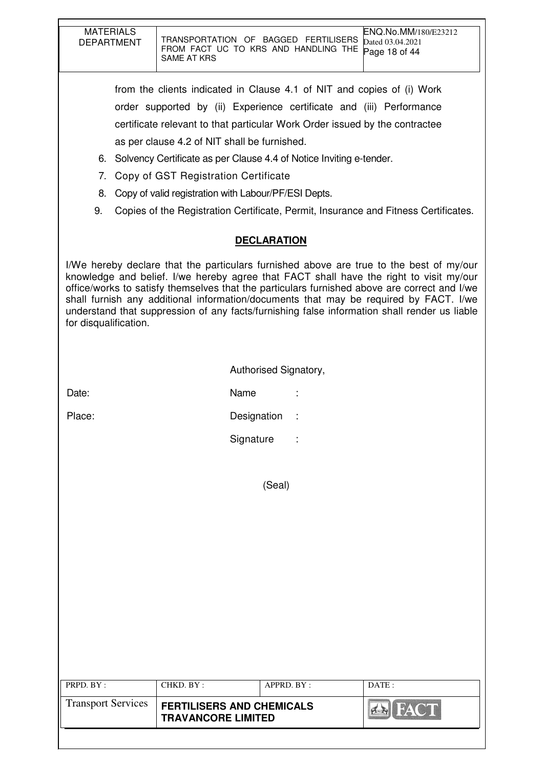| <b>MATERIALS</b><br><b>DEPARTMENT</b> | TRANSPORTATION OF BAGGED FERTILISERS<br>FROM FACT UC TO KRS AND HANDLING THE<br>SAME AT KRS                                                                                                                                                                                                                                                                                                                                                                                |                       | ENQ.No.MM/180/E23212<br>Dated 03.04.2021<br>Page 18 of 44 |
|---------------------------------------|----------------------------------------------------------------------------------------------------------------------------------------------------------------------------------------------------------------------------------------------------------------------------------------------------------------------------------------------------------------------------------------------------------------------------------------------------------------------------|-----------------------|-----------------------------------------------------------|
|                                       | from the clients indicated in Clause 4.1 of NIT and copies of (i) Work                                                                                                                                                                                                                                                                                                                                                                                                     |                       |                                                           |
|                                       | order supported by (ii) Experience certificate and (iii) Performance                                                                                                                                                                                                                                                                                                                                                                                                       |                       |                                                           |
|                                       | certificate relevant to that particular Work Order issued by the contractee                                                                                                                                                                                                                                                                                                                                                                                                |                       |                                                           |
|                                       | as per clause 4.2 of NIT shall be furnished.                                                                                                                                                                                                                                                                                                                                                                                                                               |                       |                                                           |
|                                       | 6. Solvency Certificate as per Clause 4.4 of Notice Inviting e-tender.                                                                                                                                                                                                                                                                                                                                                                                                     |                       |                                                           |
| 7 <sub>1</sub>                        | Copy of GST Registration Certificate                                                                                                                                                                                                                                                                                                                                                                                                                                       |                       |                                                           |
| 8.                                    | Copy of valid registration with Labour/PF/ESI Depts.                                                                                                                                                                                                                                                                                                                                                                                                                       |                       |                                                           |
| 9.                                    | Copies of the Registration Certificate, Permit, Insurance and Fitness Certificates.                                                                                                                                                                                                                                                                                                                                                                                        |                       |                                                           |
|                                       |                                                                                                                                                                                                                                                                                                                                                                                                                                                                            |                       |                                                           |
|                                       | <b>DECLARATION</b>                                                                                                                                                                                                                                                                                                                                                                                                                                                         |                       |                                                           |
| for disqualification.                 | I/We hereby declare that the particulars furnished above are true to the best of my/our<br>knowledge and belief. I/we hereby agree that FACT shall have the right to visit my/our<br>office/works to satisfy themselves that the particulars furnished above are correct and I/we<br>shall furnish any additional information/documents that may be required by FACT. I/we<br>understand that suppression of any facts/furnishing false information shall render us liable |                       |                                                           |
|                                       |                                                                                                                                                                                                                                                                                                                                                                                                                                                                            | Authorised Signatory, |                                                           |
|                                       |                                                                                                                                                                                                                                                                                                                                                                                                                                                                            |                       |                                                           |
| Date:                                 | Name                                                                                                                                                                                                                                                                                                                                                                                                                                                                       |                       |                                                           |
| Place:                                | Designation                                                                                                                                                                                                                                                                                                                                                                                                                                                                |                       |                                                           |
|                                       | Signature                                                                                                                                                                                                                                                                                                                                                                                                                                                                  |                       |                                                           |
|                                       |                                                                                                                                                                                                                                                                                                                                                                                                                                                                            |                       |                                                           |
|                                       | (Seal)                                                                                                                                                                                                                                                                                                                                                                                                                                                                     |                       |                                                           |
|                                       |                                                                                                                                                                                                                                                                                                                                                                                                                                                                            |                       |                                                           |
|                                       |                                                                                                                                                                                                                                                                                                                                                                                                                                                                            |                       |                                                           |
|                                       |                                                                                                                                                                                                                                                                                                                                                                                                                                                                            |                       |                                                           |
|                                       |                                                                                                                                                                                                                                                                                                                                                                                                                                                                            |                       |                                                           |
|                                       |                                                                                                                                                                                                                                                                                                                                                                                                                                                                            |                       |                                                           |
|                                       |                                                                                                                                                                                                                                                                                                                                                                                                                                                                            |                       |                                                           |
|                                       |                                                                                                                                                                                                                                                                                                                                                                                                                                                                            |                       |                                                           |
|                                       |                                                                                                                                                                                                                                                                                                                                                                                                                                                                            |                       |                                                           |
|                                       |                                                                                                                                                                                                                                                                                                                                                                                                                                                                            |                       |                                                           |
|                                       |                                                                                                                                                                                                                                                                                                                                                                                                                                                                            |                       |                                                           |
| PRPD. BY:                             | CHKD. BY:                                                                                                                                                                                                                                                                                                                                                                                                                                                                  | APPRD. BY:            | DATE:                                                     |
| <b>Transport Services</b>             | <b>FERTILISERS AND CHEMICALS</b>                                                                                                                                                                                                                                                                                                                                                                                                                                           |                       |                                                           |
|                                       | <b>TRAVANCORE LIMITED</b>                                                                                                                                                                                                                                                                                                                                                                                                                                                  |                       |                                                           |
|                                       |                                                                                                                                                                                                                                                                                                                                                                                                                                                                            |                       |                                                           |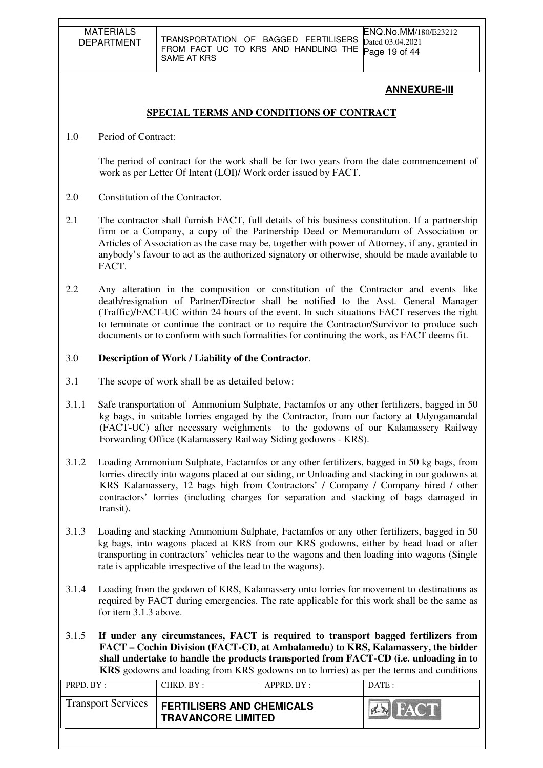# **ANNEXURE-III**

# **SPECIAL TERMS AND CONDITIONS OF CONTRACT**

1.0 Period of Contract:

The period of contract for the work shall be for two years from the date commencement of work as per Letter Of Intent (LOI)/ Work order issued by FACT.

- 2.0 Constitution of the Contractor.
- 2.1 The contractor shall furnish FACT, full details of his business constitution. If a partnership firm or a Company, a copy of the Partnership Deed or Memorandum of Association or Articles of Association as the case may be, together with power of Attorney, if any, granted in anybody's favour to act as the authorized signatory or otherwise, should be made available to FACT.
- 2.2 Any alteration in the composition or constitution of the Contractor and events like death/resignation of Partner/Director shall be notified to the Asst. General Manager (Traffic)/FACT-UC within 24 hours of the event. In such situations FACT reserves the right to terminate or continue the contract or to require the Contractor/Survivor to produce such documents or to conform with such formalities for continuing the work, as FACT deems fit.

# 3.0 **Description of Work / Liability of the Contractor**.

- 3.1 The scope of work shall be as detailed below:
- 3.1.1 Safe transportation of Ammonium Sulphate, Factamfos or any other fertilizers, bagged in 50 kg bags, in suitable lorries engaged by the Contractor, from our factory at Udyogamandal (FACT-UC) after necessary weighments to the godowns of our Kalamassery Railway Forwarding Office (Kalamassery Railway Siding godowns - KRS).
- 3.1.2 Loading Ammonium Sulphate, Factamfos or any other fertilizers, bagged in 50 kg bags, from lorries directly into wagons placed at our siding, or Unloading and stacking in our godowns at KRS Kalamassery, 12 bags high from Contractors' / Company / Company hired / other contractors' lorries (including charges for separation and stacking of bags damaged in transit).
- 3.1.3 Loading and stacking Ammonium Sulphate, Factamfos or any other fertilizers, bagged in 50 kg bags, into wagons placed at KRS from our KRS godowns, either by head load or after transporting in contractors' vehicles near to the wagons and then loading into wagons (Single rate is applicable irrespective of the lead to the wagons).
- 3.1.4 Loading from the godown of KRS, Kalamassery onto lorries for movement to destinations as required by FACT during emergencies. The rate applicable for this work shall be the same as for item 3.1.3 above.
- 3.1.5 **If under any circumstances, FACT is required to transport bagged fertilizers from FACT – Cochin Division (FACT-CD, at Ambalamedu) to KRS, Kalamassery, the bidder shall undertake to handle the products transported from FACT-CD (i.e. unloading in to KRS** godowns and loading from KRS godowns on to lorries) as per the terms and conditions

| <b>Transport Services</b><br><b>FERTILISERS AND CHEMICALS</b><br><b>THE STATE OF BEAT</b><br><b>TRAVANCORE LIMITED</b> | PRPD. BY: | CHKD. BY: | APPRD. BY: | DATE: |
|------------------------------------------------------------------------------------------------------------------------|-----------|-----------|------------|-------|
|                                                                                                                        |           |           |            |       |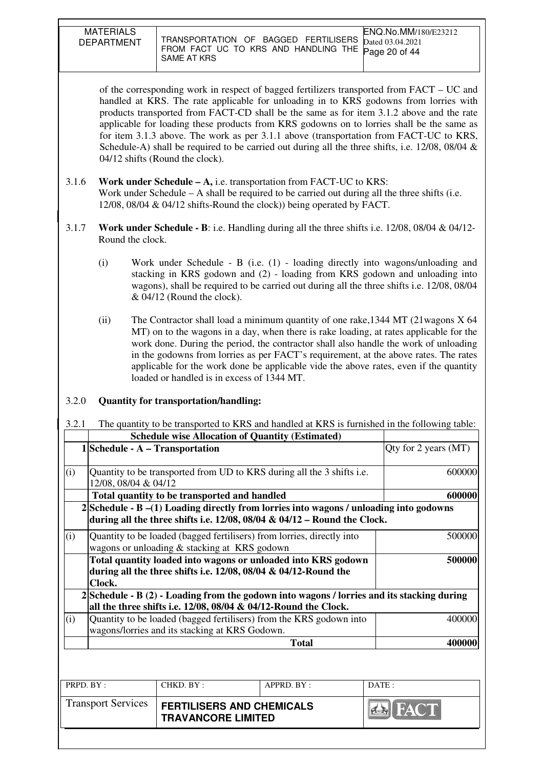| <b>MATERIALS</b><br>DEPARTMENT | TRANSPORTATION OF BAGGED FERTILISERS<br>FROM FACT UC TO KRS AND HANDLING THE Page 20 of 44<br>SAME AT KRS | ENQ.No.MM/180/E23212<br>Dated 03.04.2021 |
|--------------------------------|-----------------------------------------------------------------------------------------------------------|------------------------------------------|

of the corresponding work in respect of bagged fertilizers transported from FACT – UC and handled at KRS. The rate applicable for unloading in to KRS godowns from lorries with products transported from FACT-CD shall be the same as for item 3.1.2 above and the rate applicable for loading these products from KRS godowns on to lorries shall be the same as for item 3.1.3 above. The work as per 3.1.1 above (transportation from FACT-UC to KRS, Schedule-A) shall be required to be carried out during all the three shifts, i.e. 12/08, 08/04 & 04/12 shifts (Round the clock).

- 3.1.6 **Work under Schedule A,** i.e. transportation from FACT-UC to KRS: Work under Schedule – A shall be required to be carried out during all the three shifts (i.e. 12/08, 08/04 & 04/12 shifts-Round the clock)) being operated by FACT.
- 3.1.7 **Work under Schedule B**: i.e. Handling during all the three shifts i.e. 12/08, 08/04 & 04/12- Round the clock.
	- (i) Work under Schedule B (i.e. (1) loading directly into wagons/unloading and stacking in KRS godown and (2) - loading from KRS godown and unloading into wagons), shall be required to be carried out during all the three shifts i.e. 12/08, 08/04 & 04/12 (Round the clock).
	- (ii) The Contractor shall load a minimum quantity of one rake,1344 MT (21wagons X 64 MT) on to the wagons in a day, when there is rake loading, at rates applicable for the work done. During the period, the contractor shall also handle the work of unloading in the godowns from lorries as per FACT's requirement, at the above rates. The rates applicable for the work done be applicable vide the above rates, even if the quantity loaded or handled is in excess of 1344 MT.

#### 3.2.0 **Quantity for transportation/handling:**

3.2.1 The quantity to be transported to KRS and handled at KRS is furnished in the following table:

|           |                                    |                                                | <b>Schedule wise Allocation of Quantity (Estimated)</b>                                                                                                                       |                        |
|-----------|------------------------------------|------------------------------------------------|-------------------------------------------------------------------------------------------------------------------------------------------------------------------------------|------------------------|
|           | $1 $ Schedule - A – Transportation |                                                |                                                                                                                                                                               | Qty for 2 years $(MT)$ |
| (i)       | 12/08, 08/04 & 04/12               |                                                | Quantity to be transported from UD to KRS during all the 3 shifts i.e.                                                                                                        | 600000                 |
|           |                                    | Total quantity to be transported and handled   |                                                                                                                                                                               | 600000                 |
|           |                                    |                                                | $2 $ Schedule - B $-(1)$ Loading directly from lorries into wagons / unloading into godowns<br>during all the three shifts i.e. $12/08$ , $08/04 \& 04/12$ – Round the Clock. |                        |
| (i)       |                                    | wagons or unloading & stacking at KRS godown   | Quantity to be loaded (bagged fertilisers) from lorries, directly into                                                                                                        | 500000                 |
|           | Clock.                             |                                                | Total quantity loaded into wagons or unloaded into KRS godown<br>during all the three shifts i.e. $12/08$ , $08/04 \& 04/12$ -Round the                                       | 500000                 |
|           |                                    |                                                | 2 Schedule - B (2) - Loading from the godown into wagons / lorries and its stacking during<br>all the three shifts i.e. $12/08$ , $08/04$ & $04/12$ -Round the Clock.         |                        |
| (i)       |                                    | wagons/lorries and its stacking at KRS Godown. | Quantity to be loaded (bagged fertilisers) from the KRS godown into                                                                                                           | 400000                 |
|           |                                    |                                                | <b>Total</b>                                                                                                                                                                  | 400000                 |
|           |                                    |                                                |                                                                                                                                                                               |                        |
| PRPD. BY: |                                    | CHKD. BY:                                      | APPRD. BY:                                                                                                                                                                    | DATE:                  |

| IND.DI.                   | CLIMD. D. 1.                                                  | ALINU. DI. | 177113.        |
|---------------------------|---------------------------------------------------------------|------------|----------------|
| <b>Transport Services</b> | <b>FERTILISERS AND CHEMICALS</b><br><b>TRAVANCORE LIMITED</b> |            | <b>SI FACT</b> |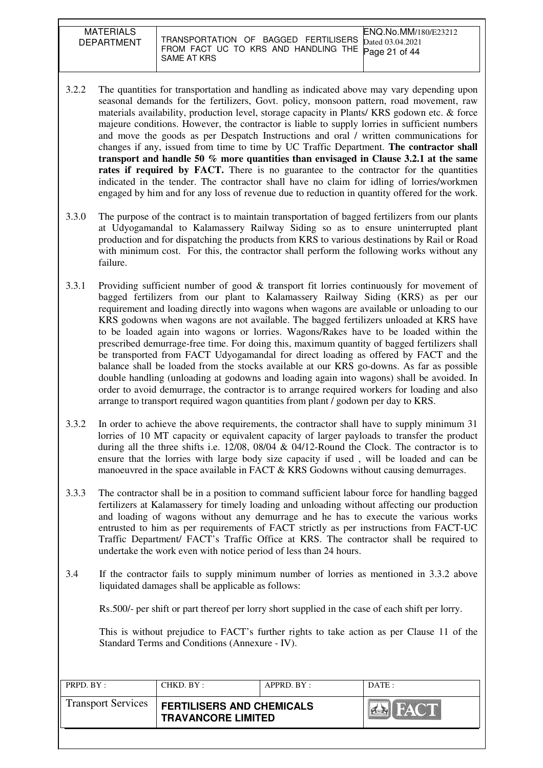| <b>MATERIALS</b><br><b>DEPARTMENT</b> | <b>ENO.No.MM/180/E23212</b><br>TRANSPORTATION OF BAGGED FERTILISERS Dated 03.04.2021<br>FROM FACT UC TO KRS AND HANDLING THE Page 21 of 44<br>SAME AT KRS |
|---------------------------------------|-----------------------------------------------------------------------------------------------------------------------------------------------------------|

- 3.2.2 The quantities for transportation and handling as indicated above may vary depending upon seasonal demands for the fertilizers, Govt. policy, monsoon pattern, road movement, raw materials availability, production level, storage capacity in Plants/ KRS godown etc. & force majeure conditions. However, the contractor is liable to supply lorries in sufficient numbers and move the goods as per Despatch Instructions and oral / written communications for changes if any, issued from time to time by UC Traffic Department. **The contractor shall transport and handle 50 % more quantities than envisaged in Clause 3.2.1 at the same**  rates if required by FACT. There is no guarantee to the contractor for the quantities indicated in the tender. The contractor shall have no claim for idling of lorries/workmen engaged by him and for any loss of revenue due to reduction in quantity offered for the work.
- 3.3.0 The purpose of the contract is to maintain transportation of bagged fertilizers from our plants at Udyogamandal to Kalamassery Railway Siding so as to ensure uninterrupted plant production and for dispatching the products from KRS to various destinations by Rail or Road with minimum cost. For this, the contractor shall perform the following works without any failure.
- 3.3.1 Providing sufficient number of good & transport fit lorries continuously for movement of bagged fertilizers from our plant to Kalamassery Railway Siding (KRS) as per our requirement and loading directly into wagons when wagons are available or unloading to our KRS godowns when wagons are not available. The bagged fertilizers unloaded at KRS have to be loaded again into wagons or lorries. Wagons/Rakes have to be loaded within the prescribed demurrage-free time. For doing this, maximum quantity of bagged fertilizers shall be transported from FACT Udyogamandal for direct loading as offered by FACT and the balance shall be loaded from the stocks available at our KRS go-downs. As far as possible double handling (unloading at godowns and loading again into wagons) shall be avoided. In order to avoid demurrage, the contractor is to arrange required workers for loading and also arrange to transport required wagon quantities from plant / godown per day to KRS.
- 3.3.2 In order to achieve the above requirements, the contractor shall have to supply minimum 31 lorries of 10 MT capacity or equivalent capacity of larger payloads to transfer the product during all the three shifts i.e.  $12/08$ ,  $08/04 \& 04/12$ -Round the Clock. The contractor is to ensure that the lorries with large body size capacity if used , will be loaded and can be manoeuvred in the space available in FACT & KRS Godowns without causing demurrages.
- 3.3.3 The contractor shall be in a position to command sufficient labour force for handling bagged fertilizers at Kalamassery for timely loading and unloading without affecting our production and loading of wagons without any demurrage and he has to execute the various works entrusted to him as per requirements of FACT strictly as per instructions from FACT-UC Traffic Department/ FACT's Traffic Office at KRS. The contractor shall be required to undertake the work even with notice period of less than 24 hours.
- 3.4 If the contractor fails to supply minimum number of lorries as mentioned in 3.3.2 above liquidated damages shall be applicable as follows:

Rs.500/- per shift or part thereof per lorry short supplied in the case of each shift per lorry.

 This is without prejudice to FACT's further rights to take action as per Clause 11 of the Standard Terms and Conditions (Annexure - IV).

| PRPD. BY:                 | CHKD. BY :                                                    | APPRD. BY: | DATA:        |
|---------------------------|---------------------------------------------------------------|------------|--------------|
| <b>Transport Services</b> | <b>FERTILISERS AND CHEMICALS</b><br><b>TRAVANCORE LIMITED</b> |            | <b>FACTE</b> |
|                           |                                                               |            |              |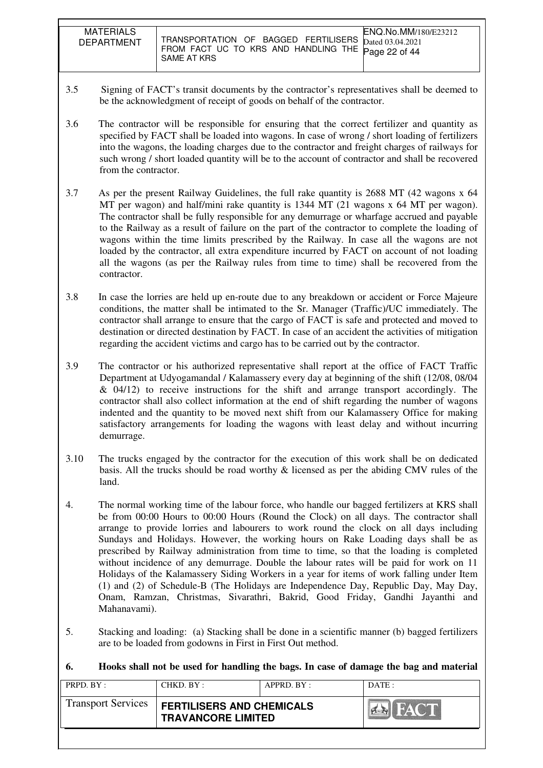MATERIALS DEPARTMENT TRANSPORTATION OF BAGGED FERTILISERS FROM FACT UC TO KRS AND HANDLING THE SAME AT KRS ENQ.No.MM/180/E23212 Dated 03.04.2021 Page 22 of 44

- 3.5 Signing of FACT's transit documents by the contractor's representatives shall be deemed to be the acknowledgment of receipt of goods on behalf of the contractor.
- 3.6 The contractor will be responsible for ensuring that the correct fertilizer and quantity as specified by FACT shall be loaded into wagons. In case of wrong / short loading of fertilizers into the wagons, the loading charges due to the contractor and freight charges of railways for such wrong / short loaded quantity will be to the account of contractor and shall be recovered from the contractor.
- 3.7 As per the present Railway Guidelines, the full rake quantity is 2688 MT (42 wagons x 64 MT per wagon) and half/mini rake quantity is 1344 MT (21 wagons x 64 MT per wagon). The contractor shall be fully responsible for any demurrage or wharfage accrued and payable to the Railway as a result of failure on the part of the contractor to complete the loading of wagons within the time limits prescribed by the Railway. In case all the wagons are not loaded by the contractor, all extra expenditure incurred by FACT on account of not loading all the wagons (as per the Railway rules from time to time) shall be recovered from the contractor.
- 3.8 In case the lorries are held up en-route due to any breakdown or accident or Force Majeure conditions, the matter shall be intimated to the Sr. Manager (Traffic)/UC immediately. The contractor shall arrange to ensure that the cargo of FACT is safe and protected and moved to destination or directed destination by FACT. In case of an accident the activities of mitigation regarding the accident victims and cargo has to be carried out by the contractor.
- 3.9 The contractor or his authorized representative shall report at the office of FACT Traffic Department at Udyogamandal / Kalamassery every day at beginning of the shift (12/08, 08/04 & 04/12) to receive instructions for the shift and arrange transport accordingly. The contractor shall also collect information at the end of shift regarding the number of wagons indented and the quantity to be moved next shift from our Kalamassery Office for making satisfactory arrangements for loading the wagons with least delay and without incurring demurrage.
- 3.10 The trucks engaged by the contractor for the execution of this work shall be on dedicated basis. All the trucks should be road worthy & licensed as per the abiding CMV rules of the land.
- 4. The normal working time of the labour force, who handle our bagged fertilizers at KRS shall be from 00:00 Hours to 00:00 Hours (Round the Clock) on all days. The contractor shall arrange to provide lorries and labourers to work round the clock on all days including Sundays and Holidays. However, the working hours on Rake Loading days shall be as prescribed by Railway administration from time to time, so that the loading is completed without incidence of any demurrage. Double the labour rates will be paid for work on 11 Holidays of the Kalamassery Siding Workers in a year for items of work falling under Item (1) and (2) of Schedule-B (The Holidays are Independence Day, Republic Day, May Day, Onam, Ramzan, Christmas, Sivarathri, Bakrid, Good Friday, Gandhi Jayanthi and Mahanavami).
- 5. Stacking and loading: (a) Stacking shall be done in a scientific manner (b) bagged fertilizers are to be loaded from godowns in First in First Out method.

### **6. Hooks shall not be used for handling the bags. In case of damage the bag and material**

| PRPD. BY:                 | CHKD. BY:                                                     | $APPRD$ . $BY$ : | $\overline{DATE}$ : |
|---------------------------|---------------------------------------------------------------|------------------|---------------------|
| <b>Transport Services</b> | <b>FERTILISERS AND CHEMICALS</b><br><b>TRAVANCORE LIMITED</b> |                  | HAC'T               |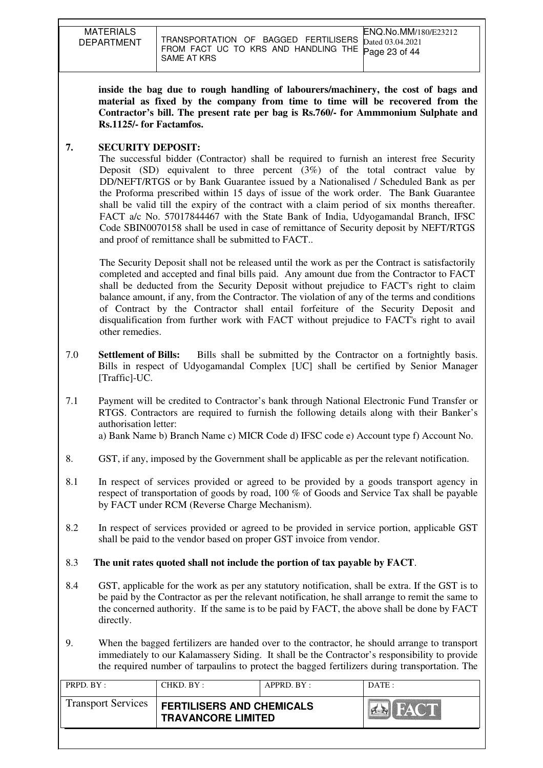| <b>MATERIALS</b><br><b>DEPARTMENT</b> | ENQ.No.MM/180/E23212<br>TRANSPORTATION OF BAGGED FERTILISERS $_{\text{Dated }03.04.2021}$<br>FROM FACT UC TO KRS AND HANDLING THE Page 23 of 44<br>SAME AT KRS |
|---------------------------------------|----------------------------------------------------------------------------------------------------------------------------------------------------------------|

**inside the bag due to rough handling of labourers/machinery, the cost of bags and material as fixed by the company from time to time will be recovered from the Contractor's bill. The present rate per bag is Rs.760/- for Ammmonium Sulphate and Rs.1125/- for Factamfos.** 

#### **7. SECURITY DEPOSIT:**

The successful bidder (Contractor) shall be required to furnish an interest free Security Deposit (SD) equivalent to three percent (3%) of the total contract value by DD/NEFT/RTGS or by Bank Guarantee issued by a Nationalised / Scheduled Bank as per the Proforma prescribed within 15 days of issue of the work order. The Bank Guarantee shall be valid till the expiry of the contract with a claim period of six months thereafter. FACT a/c No. 57017844467 with the State Bank of India, Udyogamandal Branch, IFSC Code SBIN0070158 shall be used in case of remittance of Security deposit by NEFT/RTGS and proof of remittance shall be submitted to FACT..

The Security Deposit shall not be released until the work as per the Contract is satisfactorily completed and accepted and final bills paid. Any amount due from the Contractor to FACT shall be deducted from the Security Deposit without prejudice to FACT's right to claim balance amount, if any, from the Contractor. The violation of any of the terms and conditions of Contract by the Contractor shall entail forfeiture of the Security Deposit and disqualification from further work with FACT without prejudice to FACT's right to avail other remedies.

- 7.0 **Settlement of Bills:** Bills shall be submitted by the Contractor on a fortnightly basis. Bills in respect of Udyogamandal Complex [UC] shall be certified by Senior Manager [Traffic]-UC.
- 7.1 Payment will be credited to Contractor's bank through National Electronic Fund Transfer or RTGS. Contractors are required to furnish the following details along with their Banker's authorisation letter:

a) Bank Name b) Branch Name c) MICR Code d) IFSC code e) Account type f) Account No.

- 8. GST, if any, imposed by the Government shall be applicable as per the relevant notification.
- 8.1 In respect of services provided or agreed to be provided by a goods transport agency in respect of transportation of goods by road, 100 % of Goods and Service Tax shall be payable by FACT under RCM (Reverse Charge Mechanism).
- 8.2 In respect of services provided or agreed to be provided in service portion, applicable GST shall be paid to the vendor based on proper GST invoice from vendor.

### 8.3 **The unit rates quoted shall not include the portion of tax payable by FACT**.

- 8.4 GST, applicable for the work as per any statutory notification, shall be extra. If the GST is to be paid by the Contractor as per the relevant notification, he shall arrange to remit the same to the concerned authority. If the same is to be paid by FACT, the above shall be done by FACT directly.
- 9. When the bagged fertilizers are handed over to the contractor, he should arrange to transport immediately to our Kalamassery Siding. It shall be the Contractor's responsibility to provide the required number of tarpaulins to protect the bagged fertilizers during transportation. The

| PRPD. BY:                 | CHKD. BY:                                                     | APPRD. BY: | $\overline{DATE}$ : |
|---------------------------|---------------------------------------------------------------|------------|---------------------|
| <b>Transport Services</b> | <b>FERTILISERS AND CHEMICALS</b><br><b>TRAVANCORE LIMITED</b> |            | HAC'T               |
|                           |                                                               |            |                     |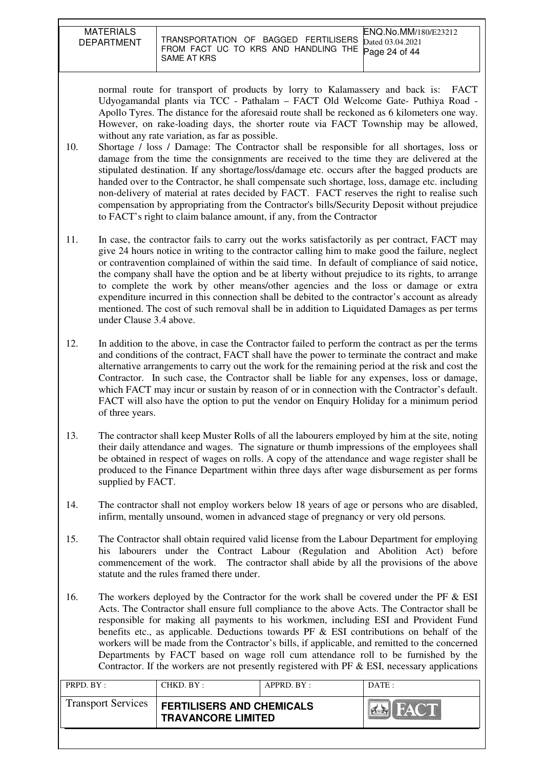MATERIALS

normal route for transport of products by lorry to Kalamassery and back is: FACT Udyogamandal plants via TCC - Pathalam – FACT Old Welcome Gate- Puthiya Road - Apollo Tyres. The distance for the aforesaid route shall be reckoned as 6 kilometers one way. However, on rake-loading days, the shorter route via FACT Township may be allowed, without any rate variation, as far as possible.

- 10. Shortage / loss / Damage: The Contractor shall be responsible for all shortages, loss or damage from the time the consignments are received to the time they are delivered at the stipulated destination. If any shortage/loss/damage etc. occurs after the bagged products are handed over to the Contractor, he shall compensate such shortage, loss, damage etc. including non-delivery of material at rates decided by FACT. FACT reserves the right to realise such compensation by appropriating from the Contractor's bills/Security Deposit without prejudice to FACT's right to claim balance amount, if any, from the Contractor
- 11. In case, the contractor fails to carry out the works satisfactorily as per contract, FACT may give 24 hours notice in writing to the contractor calling him to make good the failure, neglect or contravention complained of within the said time. In default of compliance of said notice, the company shall have the option and be at liberty without prejudice to its rights, to arrange to complete the work by other means/other agencies and the loss or damage or extra expenditure incurred in this connection shall be debited to the contractor's account as already mentioned. The cost of such removal shall be in addition to Liquidated Damages as per terms under Clause 3.4 above.
- 12. In addition to the above, in case the Contractor failed to perform the contract as per the terms and conditions of the contract, FACT shall have the power to terminate the contract and make alternative arrangements to carry out the work for the remaining period at the risk and cost the Contractor. In such case, the Contractor shall be liable for any expenses, loss or damage, which FACT may incur or sustain by reason of or in connection with the Contractor's default. FACT will also have the option to put the vendor on Enquiry Holiday for a minimum period of three years.
- 13. The contractor shall keep Muster Rolls of all the labourers employed by him at the site, noting their daily attendance and wages. The signature or thumb impressions of the employees shall be obtained in respect of wages on rolls. A copy of the attendance and wage register shall be produced to the Finance Department within three days after wage disbursement as per forms supplied by FACT.
- 14. The contractor shall not employ workers below 18 years of age or persons who are disabled, infirm, mentally unsound, women in advanced stage of pregnancy or very old persons*.*
- 15. The Contractor shall obtain required valid license from the Labour Department for employing his labourers under the Contract Labour (Regulation and Abolition Act) before commencement of the work. The contractor shall abide by all the provisions of the above statute and the rules framed there under.
- 16. The workers deployed by the Contractor for the work shall be covered under the PF & ESI Acts. The Contractor shall ensure full compliance to the above Acts. The Contractor shall be responsible for making all payments to his workmen, including ESI and Provident Fund benefits etc., as applicable. Deductions towards PF & ESI contributions on behalf of the workers will be made from the Contractor's bills, if applicable, and remitted to the concerned Departments by FACT based on wage roll cum attendance roll to be furnished by the Contractor. If the workers are not presently registered with PF  $\&$  ESI, necessary applications

| <b>Transport Services</b><br><b>FERTILISERS AND CHEMICALS</b><br><b>TRAVANCORE LIMITED</b> | PRPD. BY: | CHKD. BY : | APPRD. BY: | DATE: |
|--------------------------------------------------------------------------------------------|-----------|------------|------------|-------|
|                                                                                            |           |            |            |       |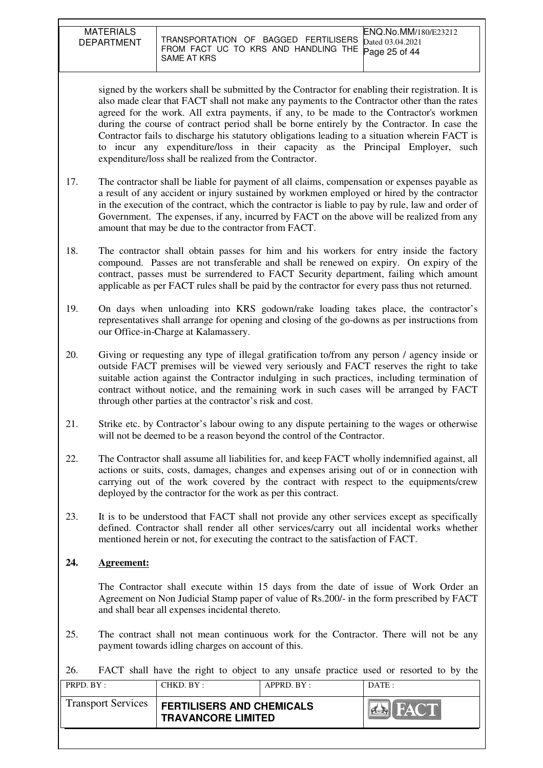| <b>MATERIALS</b><br><b>DEPARTMENT</b> | <b>ENO.No.MM/180/E23212</b><br>TRANSPORTATION OF BAGGED FERTILISERS Dated 03.04.2021<br>FROM FACT UC TO KRS AND HANDLING THE Page 25 of 44<br>SAME AT KRS |
|---------------------------------------|-----------------------------------------------------------------------------------------------------------------------------------------------------------|

signed by the workers shall be submitted by the Contractor for enabling their registration. It is also made clear that FACT shall not make any payments to the Contractor other than the rates agreed for the work. All extra payments, if any, to be made to the Contractor's workmen during the course of contract period shall be borne entirely by the Contractor. In case the Contractor fails to discharge his statutory obligations leading to a situation wherein FACT is to incur any expenditure/loss in their capacity as the Principal Employer, such expenditure/loss shall be realized from the Contractor.

- 17. The contractor shall be liable for payment of all claims, compensation or expenses payable as a result of any accident or injury sustained by workmen employed or hired by the contractor in the execution of the contract, which the contractor is liable to pay by rule, law and order of Government. The expenses, if any, incurred by FACT on the above will be realized from any amount that may be due to the contractor from FACT.
- 18. The contractor shall obtain passes for him and his workers for entry inside the factory compound. Passes are not transferable and shall be renewed on expiry. On expiry of the contract, passes must be surrendered to FACT Security department, failing which amount applicable as per FACT rules shall be paid by the contractor for every pass thus not returned.
- 19. On days when unloading into KRS godown/rake loading takes place, the contractor's representatives shall arrange for opening and closing of the go-downs as per instructions from our Office-in-Charge at Kalamassery.
- 20. Giving or requesting any type of illegal gratification to/from any person / agency inside or outside FACT premises will be viewed very seriously and FACT reserves the right to take suitable action against the Contractor indulging in such practices, including termination of contract without notice, and the remaining work in such cases will be arranged by FACT through other parties at the contractor's risk and cost.
- 21. Strike etc. by Contractor's labour owing to any dispute pertaining to the wages or otherwise will not be deemed to be a reason beyond the control of the Contractor.
- 22. The Contractor shall assume all liabilities for, and keep FACT wholly indemnified against, all actions or suits, costs, damages, changes and expenses arising out of or in connection with carrying out of the work covered by the contract with respect to the equipments/crew deployed by the contractor for the work as per this contract.
- 23. It is to be understood that FACT shall not provide any other services except as specifically defined. Contractor shall render all other services/carry out all incidental works whether mentioned herein or not, for executing the contract to the satisfaction of FACT.

#### **24. Agreement:**

The Contractor shall execute within 15 days from the date of issue of Work Order an Agreement on Non Judicial Stamp paper of value of Rs.200/- in the form prescribed by FACT and shall bear all expenses incidental thereto.

25. The contract shall not mean continuous work for the Contractor. There will not be any payment towards idling charges on account of this.

26. FACT shall have the right to object to any unsafe practice used or resorted to by the

| PRPD. BY:                 | CHKD. BY:                                                     | APPRD. BY: | DATE:       |
|---------------------------|---------------------------------------------------------------|------------|-------------|
| <b>Transport Services</b> | <b>FERTILISERS AND CHEMICALS</b><br><b>TRAVANCORE LIMITED</b> |            | <b>FACT</b> |
|                           |                                                               |            |             |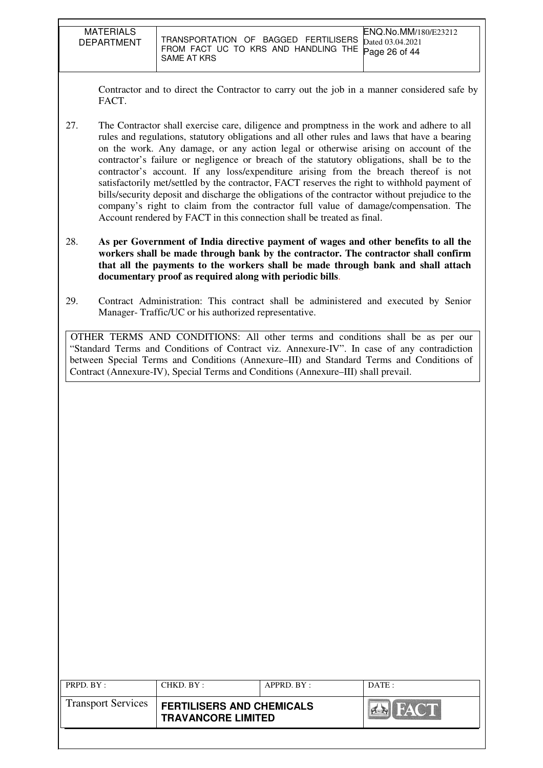| <b>MATERIALS</b><br><b>DEPARTMENT</b> | TRANSPORTATION OF BAGGED FERTILISERS<br>FROM FACT UC TO KRS AND HANDLING THE Page 26 of 44<br>SAME AT KRS | ENQ.No.MM/180/E23212<br>Dated 03.04.2021 |
|---------------------------------------|-----------------------------------------------------------------------------------------------------------|------------------------------------------|

Contractor and to direct the Contractor to carry out the job in a manner considered safe by FACT.

- 27. The Contractor shall exercise care, diligence and promptness in the work and adhere to all rules and regulations, statutory obligations and all other rules and laws that have a bearing on the work. Any damage, or any action legal or otherwise arising on account of the contractor's failure or negligence or breach of the statutory obligations, shall be to the contractor's account. If any loss/expenditure arising from the breach thereof is not satisfactorily met/settled by the contractor, FACT reserves the right to withhold payment of bills/security deposit and discharge the obligations of the contractor without prejudice to the company's right to claim from the contractor full value of damage/compensation. The Account rendered by FACT in this connection shall be treated as final.
- 28. **As per Government of India directive payment of wages and other benefits to all the workers shall be made through bank by the contractor. The contractor shall confirm that all the payments to the workers shall be made through bank and shall attach documentary proof as required along with periodic bills**.
- 29. Contract Administration: This contract shall be administered and executed by Senior Manager- Traffic/UC or his authorized representative.

OTHER TERMS AND CONDITIONS: All other terms and conditions shall be as per our "Standard Terms and Conditions of Contract viz. Annexure-IV". In case of any contradiction between Special Terms and Conditions (Annexure–III) and Standard Terms and Conditions of Contract (Annexure-IV), Special Terms and Conditions (Annexure–III) shall prevail.

| PRPD. BY:                 | CHKD. BY:                                                     | APPRD. BY: | DATA        |
|---------------------------|---------------------------------------------------------------|------------|-------------|
| <b>Transport Services</b> | <b>FERTILISERS AND CHEMICALS</b><br><b>TRAVANCORE LIMITED</b> |            | <b>FACT</b> |
|                           |                                                               |            |             |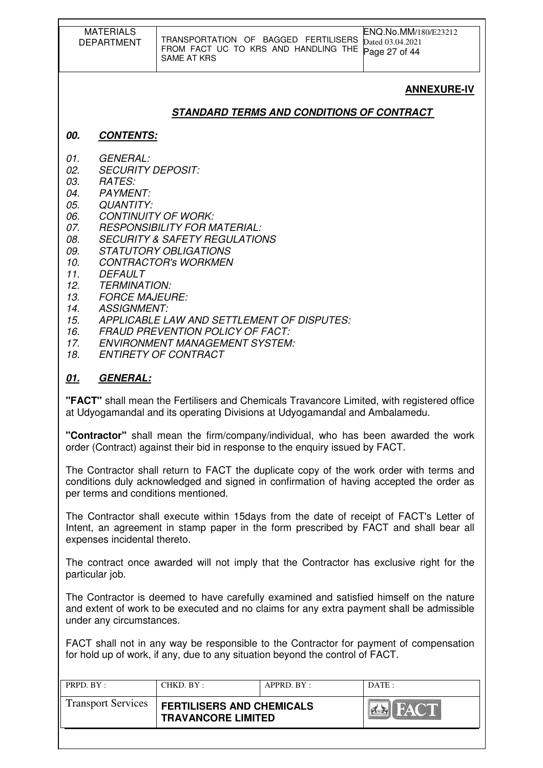|                                                                                                                            | <b>MATERIALS</b><br><b>DEPARTMENT</b>                                                                                                                                                       | TRANSPORTATION OF BAGGED FERTILISERS<br>FROM FACT UC TO KRS AND HANDLING THE<br><b>SAME AT KRS</b>                                                                                                                                                                                                                              | ENQ.No.MM/180/E23212<br>Dated 03.04.2021<br>Page 27 of 44 |
|----------------------------------------------------------------------------------------------------------------------------|---------------------------------------------------------------------------------------------------------------------------------------------------------------------------------------------|---------------------------------------------------------------------------------------------------------------------------------------------------------------------------------------------------------------------------------------------------------------------------------------------------------------------------------|-----------------------------------------------------------|
|                                                                                                                            |                                                                                                                                                                                             |                                                                                                                                                                                                                                                                                                                                 | <b>ANNEXURE-IV</b>                                        |
|                                                                                                                            |                                                                                                                                                                                             | <b>STANDARD TERMS AND CONDITIONS OF CONTRACT</b>                                                                                                                                                                                                                                                                                |                                                           |
| 00.                                                                                                                        | <b>CONTENTS:</b>                                                                                                                                                                            |                                                                                                                                                                                                                                                                                                                                 |                                                           |
| 01.<br>02.<br>03.<br>04.<br>05.<br>06.<br>07.<br>08.<br>09.<br>10.<br>11.<br>12.<br>13.<br>14.<br>15.<br>16.<br>17.<br>18. | <b>GENERAL:</b><br><b>SECURITY DEPOSIT:</b><br><b>RATES:</b><br><b>PAYMENT:</b><br><b>QUANTITY:</b><br><b>DEFAULT</b><br><b>TERMINATION:</b><br><b>FORCE MAJEURE:</b><br><b>ASSIGNMENT:</b> | <b>CONTINUITY OF WORK:</b><br>RESPONSIBILITY FOR MATERIAL:<br><b>SECURITY &amp; SAFETY REGULATIONS</b><br>STATUTORY OBLIGATIONS<br><b>CONTRACTOR'S WORKMEN</b><br>APPLICABLE LAW AND SETTLEMENT OF DISPUTES:<br><b>FRAUD PREVENTION POLICY OF FACT:</b><br><b>ENVIRONMENT MANAGEMENT SYSTEM:</b><br><b>ENTIRETY OF CONTRACT</b> |                                                           |
| <u>01.</u>                                                                                                                 | <b>GENERAL:</b>                                                                                                                                                                             |                                                                                                                                                                                                                                                                                                                                 |                                                           |
|                                                                                                                            |                                                                                                                                                                                             | "EACT" aboll mean the Fertilipers and Chamicals Travensers Limited with registered office                                                                                                                                                                                                                                       |                                                           |

**"FACT"** shall mean the Fertilisers and Chemicals Travancore Limited, with registered office at Udyogamandal and its operating Divisions at Udyogamandal and Ambalamedu.

**"Contractor"** shall mean the firm/company/individual, who has been awarded the work order (Contract) against their bid in response to the enquiry issued by FACT.

The Contractor shall return to FACT the duplicate copy of the work order with terms and conditions duly acknowledged and signed in confirmation of having accepted the order as per terms and conditions mentioned.

The Contractor shall execute within 15days from the date of receipt of FACT's Letter of Intent, an agreement in stamp paper in the form prescribed by FACT and shall bear all expenses incidental thereto.

The contract once awarded will not imply that the Contractor has exclusive right for the particular job.

The Contractor is deemed to have carefully examined and satisfied himself on the nature and extent of work to be executed and no claims for any extra payment shall be admissible under any circumstances.

FACT shall not in any way be responsible to the Contractor for payment of compensation for hold up of work, if any, due to any situation beyond the control of FACT.

| PRPD. $BY:$               | CHKD. BY:                                                     | APPRD. BY: | DATE:       |
|---------------------------|---------------------------------------------------------------|------------|-------------|
| <b>Transport Services</b> | <b>FERTILISERS AND CHEMICALS</b><br><b>TRAVANCORE LIMITED</b> |            | <b>HACT</b> |
|                           |                                                               |            |             |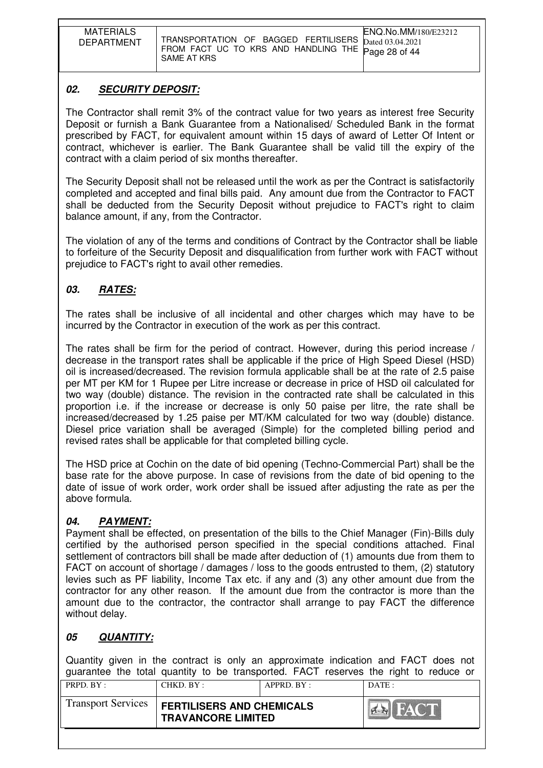| <b>MATERIALS</b><br><b>DEPARTMENT</b> | <b>ENQ.No.MM/180/E23212</b><br>TRANSPORTATION OF BAGGED FERTILISERS $\overline{\text{Dated 03.04.2021}}$<br>FROM FACT UC TO KRS AND HANDLING THE Page 28 of 44<br>SAME AT KRS |
|---------------------------------------|-------------------------------------------------------------------------------------------------------------------------------------------------------------------------------|

## **02. SECURITY DEPOSIT:**

The Contractor shall remit 3% of the contract value for two years as interest free Security Deposit or furnish a Bank Guarantee from a Nationalised/ Scheduled Bank in the format prescribed by FACT, for equivalent amount within 15 days of award of Letter Of Intent or contract, whichever is earlier. The Bank Guarantee shall be valid till the expiry of the contract with a claim period of six months thereafter.

The Security Deposit shall not be released until the work as per the Contract is satisfactorily completed and accepted and final bills paid. Any amount due from the Contractor to FACT shall be deducted from the Security Deposit without prejudice to FACT's right to claim balance amount, if any, from the Contractor.

The violation of any of the terms and conditions of Contract by the Contractor shall be liable to forfeiture of the Security Deposit and disqualification from further work with FACT without prejudice to FACT's right to avail other remedies.

## **03. RATES:**

The rates shall be inclusive of all incidental and other charges which may have to be incurred by the Contractor in execution of the work as per this contract.

The rates shall be firm for the period of contract. However, during this period increase / decrease in the transport rates shall be applicable if the price of High Speed Diesel (HSD) oil is increased/decreased. The revision formula applicable shall be at the rate of 2.5 paise per MT per KM for 1 Rupee per Litre increase or decrease in price of HSD oil calculated for two way (double) distance. The revision in the contracted rate shall be calculated in this proportion i.e. if the increase or decrease is only 50 paise per litre, the rate shall be increased/decreased by 1.25 paise per MT/KM calculated for two way (double) distance. Diesel price variation shall be averaged (Simple) for the completed billing period and revised rates shall be applicable for that completed billing cycle.

The HSD price at Cochin on the date of bid opening (Techno-Commercial Part) shall be the base rate for the above purpose. In case of revisions from the date of bid opening to the date of issue of work order, work order shall be issued after adjusting the rate as per the above formula.

### **04. PAYMENT:**

Payment shall be effected, on presentation of the bills to the Chief Manager (Fin)-Bills duly certified by the authorised person specified in the special conditions attached. Final settlement of contractors bill shall be made after deduction of (1) amounts due from them to FACT on account of shortage / damages / loss to the goods entrusted to them, (2) statutory levies such as PF liability, Income Tax etc. if any and (3) any other amount due from the contractor for any other reason. If the amount due from the contractor is more than the amount due to the contractor, the contractor shall arrange to pay FACT the difference without delay.

# **05 QUANTITY:**

Quantity given in the contract is only an approximate indication and FACT does not guarantee the total quantity to be transported. FACT reserves the right to reduce or

| PRPD. BY:                 | CHKD. BY:                                                     | $APPRD$ . $BY$ : | $\overline{DATE}$ : |
|---------------------------|---------------------------------------------------------------|------------------|---------------------|
| <b>Transport Services</b> | <b>FERTILISERS AND CHEMICALS</b><br><b>TRAVANCORE LIMITED</b> |                  |                     |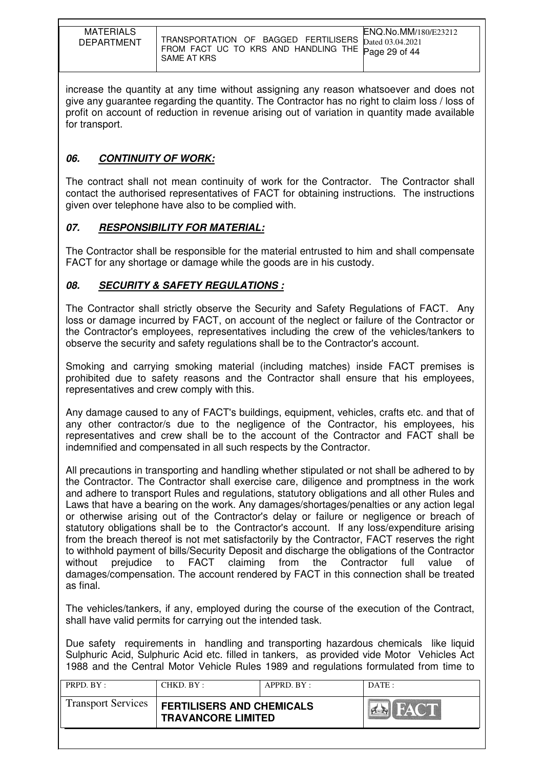| <b>MATERIALS</b><br><b>DEPARTMENT</b> | <b>ENQ.No.MM/180/E23212</b><br>TRANSPORTATION OF BAGGED FERTILISERS Dated 03.04.2021<br>FROM FACT UC TO KRS AND HANDLING THE Page 29 of 44<br>SAME AT KRS |
|---------------------------------------|-----------------------------------------------------------------------------------------------------------------------------------------------------------|

increase the quantity at any time without assigning any reason whatsoever and does not give any guarantee regarding the quantity. The Contractor has no right to claim loss / loss of profit on account of reduction in revenue arising out of variation in quantity made available for transport.

## **06. CONTINUITY OF WORK:**

The contract shall not mean continuity of work for the Contractor. The Contractor shall contact the authorised representatives of FACT for obtaining instructions. The instructions given over telephone have also to be complied with.

### **07. RESPONSIBILITY FOR MATERIAL:**

The Contractor shall be responsible for the material entrusted to him and shall compensate FACT for any shortage or damage while the goods are in his custody.

### **08. SECURITY & SAFETY REGULATIONS :**

The Contractor shall strictly observe the Security and Safety Regulations of FACT. Any loss or damage incurred by FACT, on account of the neglect or failure of the Contractor or the Contractor's employees, representatives including the crew of the vehicles/tankers to observe the security and safety regulations shall be to the Contractor's account.

Smoking and carrying smoking material (including matches) inside FACT premises is prohibited due to safety reasons and the Contractor shall ensure that his employees, representatives and crew comply with this.

Any damage caused to any of FACT's buildings, equipment, vehicles, crafts etc. and that of any other contractor/s due to the negligence of the Contractor, his employees, his representatives and crew shall be to the account of the Contractor and FACT shall be indemnified and compensated in all such respects by the Contractor.

All precautions in transporting and handling whether stipulated or not shall be adhered to by the Contractor. The Contractor shall exercise care, diligence and promptness in the work and adhere to transport Rules and regulations, statutory obligations and all other Rules and Laws that have a bearing on the work. Any damages/shortages/penalties or any action legal or otherwise arising out of the Contractor's delay or failure or negligence or breach of statutory obligations shall be to the Contractor's account. If any loss/expenditure arising from the breach thereof is not met satisfactorily by the Contractor, FACT reserves the right to withhold payment of bills/Security Deposit and discharge the obligations of the Contractor without prejudice to FACT claiming from the Contractor full value of damages/compensation. The account rendered by FACT in this connection shall be treated as final.

The vehicles/tankers, if any, employed during the course of the execution of the Contract, shall have valid permits for carrying out the intended task.

Due safety requirements in handling and transporting hazardous chemicals like liquid Sulphuric Acid, Sulphuric Acid etc. filled in tankers, as provided vide Motor Vehicles Act 1988 and the Central Motor Vehicle Rules 1989 and regulations formulated from time to

| PRPD. BY:                 | CHKD. BY:                                                     | APPRD. BY: | DATA:       |
|---------------------------|---------------------------------------------------------------|------------|-------------|
| <b>Transport Services</b> | <b>FERTILISERS AND CHEMICALS</b><br><b>TRAVANCORE LIMITED</b> |            | <b>FACT</b> |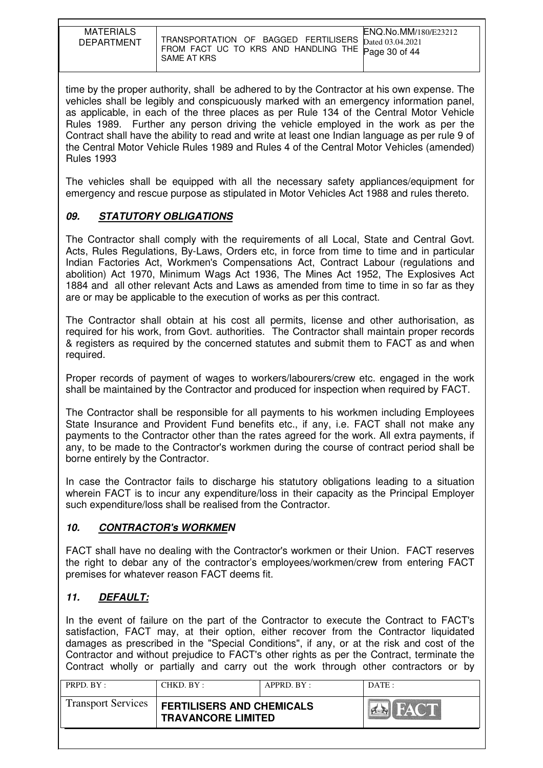| <b>MATERIALS</b><br><b>DEPARTMENT</b> | TRANSPORTATION OF BAGGED FERTILISERS $_{\text{Dated }03.04.2021}$<br>FROM FACT UC TO KRS AND HANDLING THE Page 30 of 44<br>SAME AT KRS | ENQ.No.MM/180/E23212 |
|---------------------------------------|----------------------------------------------------------------------------------------------------------------------------------------|----------------------|

time by the proper authority, shall be adhered to by the Contractor at his own expense. The vehicles shall be legibly and conspicuously marked with an emergency information panel, as applicable, in each of the three places as per Rule 134 of the Central Motor Vehicle Rules 1989. Further any person driving the vehicle employed in the work as per the Contract shall have the ability to read and write at least one Indian language as per rule 9 of the Central Motor Vehicle Rules 1989 and Rules 4 of the Central Motor Vehicles (amended) Rules 1993

The vehicles shall be equipped with all the necessary safety appliances/equipment for emergency and rescue purpose as stipulated in Motor Vehicles Act 1988 and rules thereto.

## **09. STATUTORY OBLIGATIONS**

The Contractor shall comply with the requirements of all Local, State and Central Govt. Acts, Rules Regulations, By-Laws, Orders etc, in force from time to time and in particular Indian Factories Act, Workmen's Compensations Act, Contract Labour (regulations and abolition) Act 1970, Minimum Wags Act 1936, The Mines Act 1952, The Explosives Act 1884 and all other relevant Acts and Laws as amended from time to time in so far as they are or may be applicable to the execution of works as per this contract.

The Contractor shall obtain at his cost all permits, license and other authorisation, as required for his work, from Govt. authorities. The Contractor shall maintain proper records & registers as required by the concerned statutes and submit them to FACT as and when required.

Proper records of payment of wages to workers/labourers/crew etc. engaged in the work shall be maintained by the Contractor and produced for inspection when required by FACT.

The Contractor shall be responsible for all payments to his workmen including Employees State Insurance and Provident Fund benefits etc., if any, i.e. FACT shall not make any payments to the Contractor other than the rates agreed for the work. All extra payments, if any, to be made to the Contractor's workmen during the course of contract period shall be borne entirely by the Contractor.

In case the Contractor fails to discharge his statutory obligations leading to a situation wherein FACT is to incur any expenditure/loss in their capacity as the Principal Employer such expenditure/loss shall be realised from the Contractor.

### **10. CONTRACTOR's WORKMEN**

FACT shall have no dealing with the Contractor's workmen or their Union. FACT reserves the right to debar any of the contractor's employees/workmen/crew from entering FACT premises for whatever reason FACT deems fit.

### **11. DEFAULT:**

In the event of failure on the part of the Contractor to execute the Contract to FACT's satisfaction, FACT may, at their option, either recover from the Contractor liquidated damages as prescribed in the "Special Conditions", if any, or at the risk and cost of the Contractor and without prejudice to FACT's other rights as per the Contract, terminate the Contract wholly or partially and carry out the work through other contractors or by

| PRPD. BY:                 | CHKD. BY:                                                     | APPRD. BY: | DATE: |
|---------------------------|---------------------------------------------------------------|------------|-------|
| <b>Transport Services</b> | <b>FERTILISERS AND CHEMICALS</b><br><b>TRAVANCORE LIMITED</b> |            | HACT  |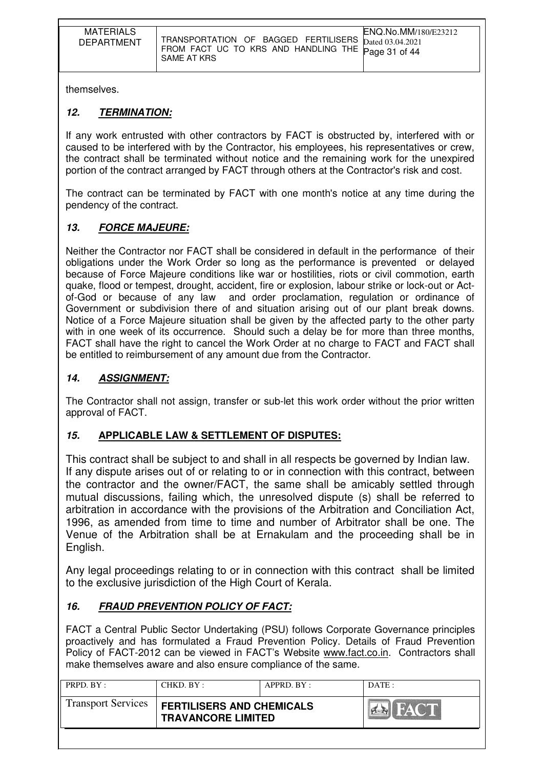| <b>MATERIALS</b><br><b>DEPARTMENT</b> | ENQ.No.MM/180/E23212<br>TRANSPORTATION OF BAGGED FERTILISERS Dated 03.04.2021<br>FROM FACT UC TO KRS AND HANDLING THE Page 31 of 44<br>SAME AT KRS |
|---------------------------------------|----------------------------------------------------------------------------------------------------------------------------------------------------|

themselves.

# **12. TERMINATION:**

If any work entrusted with other contractors by FACT is obstructed by, interfered with or caused to be interfered with by the Contractor, his employees, his representatives or crew, the contract shall be terminated without notice and the remaining work for the unexpired portion of the contract arranged by FACT through others at the Contractor's risk and cost.

The contract can be terminated by FACT with one month's notice at any time during the pendency of the contract.

# **13. FORCE MAJEURE:**

Neither the Contractor nor FACT shall be considered in default in the performance of their obligations under the Work Order so long as the performance is prevented or delayed because of Force Majeure conditions like war or hostilities, riots or civil commotion, earth quake, flood or tempest, drought, accident, fire or explosion, labour strike or lock-out or Actof-God or because of any law and order proclamation, regulation or ordinance of Government or subdivision there of and situation arising out of our plant break downs. Notice of a Force Majeure situation shall be given by the affected party to the other party with in one week of its occurrence. Should such a delay be for more than three months, FACT shall have the right to cancel the Work Order at no charge to FACT and FACT shall be entitled to reimbursement of any amount due from the Contractor.

## **14. ASSIGNMENT:**

The Contractor shall not assign, transfer or sub-let this work order without the prior written approval of FACT.

### **15. APPLICABLE LAW & SETTLEMENT OF DISPUTES:**

This contract shall be subject to and shall in all respects be governed by Indian law. If any dispute arises out of or relating to or in connection with this contract, between the contractor and the owner/FACT, the same shall be amicably settled through mutual discussions, failing which, the unresolved dispute (s) shall be referred to arbitration in accordance with the provisions of the Arbitration and Conciliation Act, 1996, as amended from time to time and number of Arbitrator shall be one. The Venue of the Arbitration shall be at Ernakulam and the proceeding shall be in English.

Any legal proceedings relating to or in connection with this contract shall be limited to the exclusive jurisdiction of the High Court of Kerala.

# **16. FRAUD PREVENTION POLICY OF FACT:**

FACT a Central Public Sector Undertaking (PSU) follows Corporate Governance principles proactively and has formulated a Fraud Prevention Policy. Details of Fraud Prevention Policy of FACT-2012 can be viewed in FACT's Website www.fact.co.in. Contractors shall make themselves aware and also ensure compliance of the same.

| PRPD. $BY:$               | CHKD. BY:                                                     | APPRD. BY: | $\overline{DATE}$ : |
|---------------------------|---------------------------------------------------------------|------------|---------------------|
| <b>Transport Services</b> | <b>FERTILISERS AND CHEMICALS</b><br><b>TRAVANCORE LIMITED</b> |            | HAY                 |
|                           |                                                               |            |                     |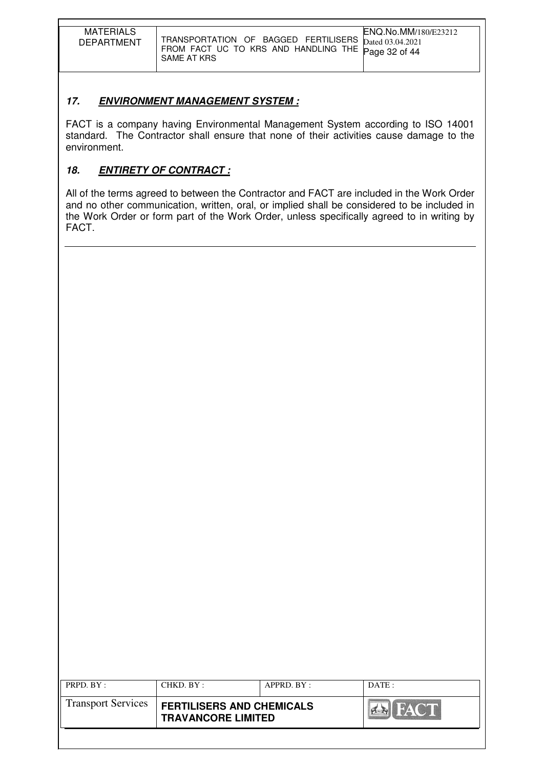| <b>MATERIALS</b><br><b>DEPARTMENT</b> | ENQ.No.MM/180/E23212<br>TRANSPORTATION OF BAGGED FERTILISERS Dated 03.04.2021<br>FROM FACT UC TO KRS AND HANDLING THE Page 32 of 44<br>SAME AT KRS |
|---------------------------------------|----------------------------------------------------------------------------------------------------------------------------------------------------|

# **17. ENVIRONMENT MANAGEMENT SYSTEM :**

FACT is a company having Environmental Management System according to ISO 14001 standard. The Contractor shall ensure that none of their activities cause damage to the environment.

# **18. ENTIRETY OF CONTRACT :**

All of the terms agreed to between the Contractor and FACT are included in the Work Order and no other communication, written, oral, or implied shall be considered to be included in the Work Order or form part of the Work Order, unless specifically agreed to in writing by FACT.

| PRPD. BY:                 | CHKD. BY:                                                     | APPRD. BY: | DATE:       |
|---------------------------|---------------------------------------------------------------|------------|-------------|
| <b>Transport Services</b> | <b>FERTILISERS AND CHEMICALS</b><br><b>TRAVANCORE LIMITED</b> |            | <b>FACT</b> |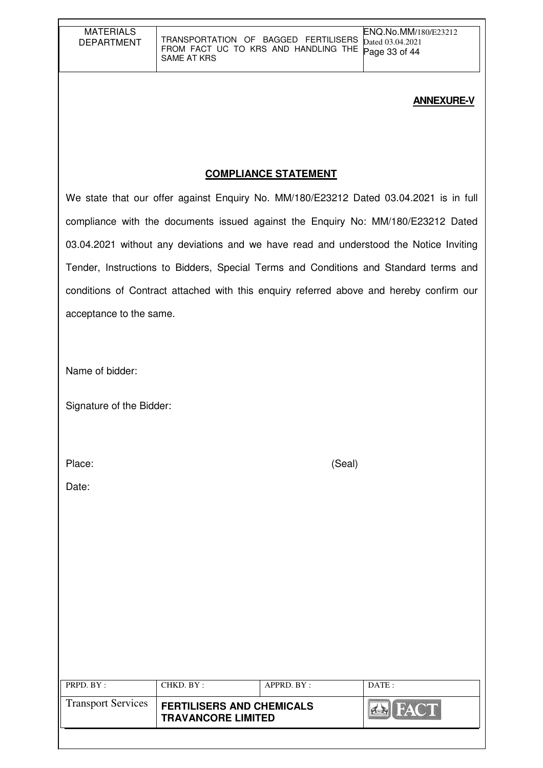#### **ANNEXURE-V**

## **COMPLIANCE STATEMENT**

We state that our offer against Enquiry No. MM/180/E23212 Dated 03.04.2021 is in full compliance with the documents issued against the Enquiry No: MM/180/E23212 Dated 03.04.2021 without any deviations and we have read and understood the Notice Inviting Tender, Instructions to Bidders, Special Terms and Conditions and Standard terms and conditions of Contract attached with this enquiry referred above and hereby confirm our acceptance to the same.

Name of bidder:

Signature of the Bidder:

Place: (Seal)

Date:

| <b>Transport Services</b><br><b>FERTILISERS AND CHEMICALS</b> |             |
|---------------------------------------------------------------|-------------|
| <b>TRAVANCORE LIMITED</b>                                     | <b>FACT</b> |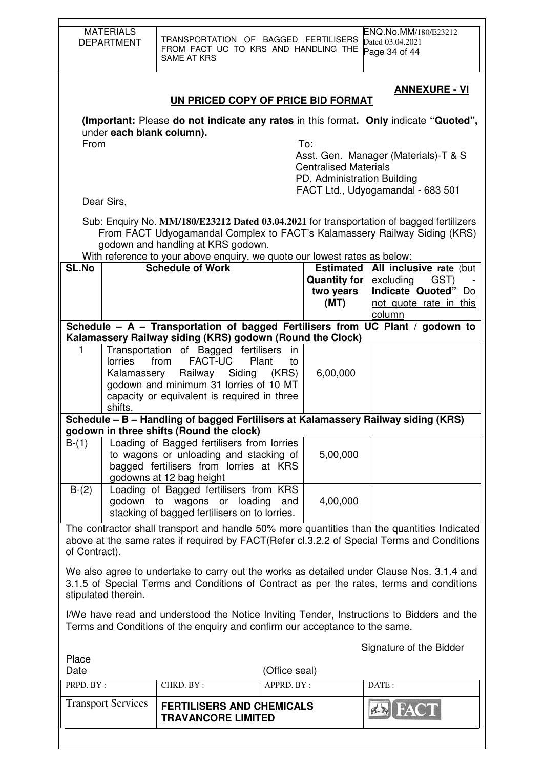|                                                                                                                                                                                                              | <b>MATERIALS</b><br><b>DEPARTMENT</b>                                                                                                                                                                                                                                                                                     | <b>SAME AT KRS</b>                                                                                              |                             |                                          | ENQ.No.MM/180/E23212<br>TRANSPORTATION OF BAGGED FERTILISERS<br>Dated 03.04.2021<br>FROM FACT UC TO KRS AND HANDLING THE<br>Page 34 of 44                             |  |  |  |
|--------------------------------------------------------------------------------------------------------------------------------------------------------------------------------------------------------------|---------------------------------------------------------------------------------------------------------------------------------------------------------------------------------------------------------------------------------------------------------------------------------------------------------------------------|-----------------------------------------------------------------------------------------------------------------|-----------------------------|------------------------------------------|-----------------------------------------------------------------------------------------------------------------------------------------------------------------------|--|--|--|
|                                                                                                                                                                                                              |                                                                                                                                                                                                                                                                                                                           | UN PRICED COPY OF PRICE BID FORMAT                                                                              |                             |                                          | <u>ANNEXURE - VI</u>                                                                                                                                                  |  |  |  |
|                                                                                                                                                                                                              | (Important: Please do not indicate any rates in this format. Only indicate "Quoted",<br>under each blank column).<br>From<br>To:<br>Asst. Gen. Manager (Materials)-T & S<br><b>Centralised Materials</b><br>PD, Administration Building<br>FACT Ltd., Udyogamandal - 683 501<br>Dear Sirs,                                |                                                                                                                 |                             |                                          |                                                                                                                                                                       |  |  |  |
|                                                                                                                                                                                                              |                                                                                                                                                                                                                                                                                                                           | godown and handling at KRS godown.<br>With reference to your above enquiry, we quote our lowest rates as below: |                             |                                          | Sub: Enquiry No. MM/180/E23212 Dated 03.04.2021 for transportation of bagged fertilizers<br>From FACT Udyogamandal Complex to FACT's Kalamassery Railway Siding (KRS) |  |  |  |
| SL.No                                                                                                                                                                                                        |                                                                                                                                                                                                                                                                                                                           | <b>Schedule of Work</b>                                                                                         |                             | <b>Quantity for</b><br>two years<br>(MT) | <b>Estimated All inclusive rate (but</b><br>excluding<br>GST)<br>Indicate Quoted" Do<br>not quote rate in this<br>column                                              |  |  |  |
|                                                                                                                                                                                                              |                                                                                                                                                                                                                                                                                                                           |                                                                                                                 |                             |                                          | Schedule - A - Transportation of bagged Fertilisers from UC Plant / godown to                                                                                         |  |  |  |
| 1                                                                                                                                                                                                            | Kalamassery Railway siding (KRS) godown (Round the Clock)<br>Transportation of Bagged fertilisers<br>in<br><b>FACT-UC</b><br>from<br>Plant<br><b>lorries</b><br>to<br>6,00,000<br>Kalamassery Railway Siding<br>(KRS)<br>godown and minimum 31 lorries of 10 MT<br>capacity or equivalent is required in three<br>shifts. |                                                                                                                 |                             |                                          |                                                                                                                                                                       |  |  |  |
|                                                                                                                                                                                                              |                                                                                                                                                                                                                                                                                                                           | Schedule - B - Handling of bagged Fertilisers at Kalamassery Railway siding (KRS)                               |                             |                                          |                                                                                                                                                                       |  |  |  |
| $B-(1)$                                                                                                                                                                                                      | godown in three shifts (Round the clock)<br>Loading of Bagged fertilisers from lorries<br>to wagons or unloading and stacking of<br>5,00,000<br>bagged fertilisers from lorries at KRS<br>godowns at 12 bag height                                                                                                        |                                                                                                                 |                             |                                          |                                                                                                                                                                       |  |  |  |
| $B-(2)$                                                                                                                                                                                                      | Loading of Bagged fertilisers from KRS<br>godown to wagons or loading<br>4,00,000<br>and<br>stacking of bagged fertilisers on to lorries.                                                                                                                                                                                 |                                                                                                                 |                             |                                          |                                                                                                                                                                       |  |  |  |
| The contractor shall transport and handle 50% more quantities than the quantities Indicated<br>above at the same rates if required by FACT(Refer cl.3.2.2 of Special Terms and Conditions<br>of Contract).   |                                                                                                                                                                                                                                                                                                                           |                                                                                                                 |                             |                                          |                                                                                                                                                                       |  |  |  |
| We also agree to undertake to carry out the works as detailed under Clause Nos. 3.1.4 and<br>3.1.5 of Special Terms and Conditions of Contract as per the rates, terms and conditions<br>stipulated therein. |                                                                                                                                                                                                                                                                                                                           |                                                                                                                 |                             |                                          |                                                                                                                                                                       |  |  |  |
|                                                                                                                                                                                                              | I/We have read and understood the Notice Inviting Tender, Instructions to Bidders and the<br>Terms and Conditions of the enquiry and confirm our acceptance to the same.                                                                                                                                                  |                                                                                                                 |                             |                                          |                                                                                                                                                                       |  |  |  |
| Place                                                                                                                                                                                                        |                                                                                                                                                                                                                                                                                                                           |                                                                                                                 |                             |                                          | Signature of the Bidder                                                                                                                                               |  |  |  |
| Date<br>PRPD. BY:                                                                                                                                                                                            |                                                                                                                                                                                                                                                                                                                           | CHKD. BY:                                                                                                       | (Office seal)<br>APPRD. BY: |                                          | DATE:                                                                                                                                                                 |  |  |  |
|                                                                                                                                                                                                              | <b>Transport Services</b>                                                                                                                                                                                                                                                                                                 | <b>FERTILISERS AND CHEMICALS</b><br><b>TRAVANCORE LIMITED</b>                                                   |                             |                                          | I FAC                                                                                                                                                                 |  |  |  |

 $\overline{\phantom{a}}$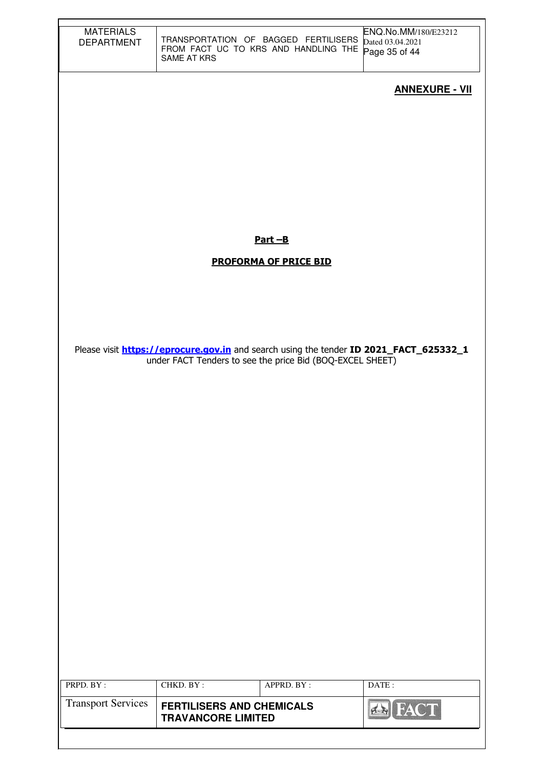| <b>MATERIALS</b><br><b>DEPARTMENT</b>  | TRANSPORTATION OF BAGGED FERTILISERS<br>FROM FACT UC TO KRS AND HANDLING THE Page 35 of 44<br>SAME AT KRS |                              | ENQ.No.MM/180/E23212<br>Dated 03.04.2021                                                      |
|----------------------------------------|-----------------------------------------------------------------------------------------------------------|------------------------------|-----------------------------------------------------------------------------------------------|
|                                        |                                                                                                           |                              | <b>ANNEXURE - VII</b>                                                                         |
|                                        |                                                                                                           |                              |                                                                                               |
|                                        |                                                                                                           |                              |                                                                                               |
|                                        |                                                                                                           |                              |                                                                                               |
|                                        |                                                                                                           |                              |                                                                                               |
|                                        |                                                                                                           | $Part - B$                   |                                                                                               |
|                                        |                                                                                                           | <b>PROFORMA OF PRICE BID</b> |                                                                                               |
|                                        |                                                                                                           |                              |                                                                                               |
|                                        |                                                                                                           |                              |                                                                                               |
|                                        | under FACT Tenders to see the price Bid (BOQ-EXCEL SHEET)                                                 |                              | Please visit <b>https://eprocure.gov.in</b> and search using the tender ID 2021_FACT_625332_1 |
|                                        |                                                                                                           |                              |                                                                                               |
|                                        |                                                                                                           |                              |                                                                                               |
|                                        |                                                                                                           |                              |                                                                                               |
|                                        |                                                                                                           |                              |                                                                                               |
|                                        |                                                                                                           |                              |                                                                                               |
|                                        |                                                                                                           |                              |                                                                                               |
|                                        |                                                                                                           |                              |                                                                                               |
|                                        |                                                                                                           |                              |                                                                                               |
|                                        |                                                                                                           |                              |                                                                                               |
|                                        |                                                                                                           |                              |                                                                                               |
|                                        |                                                                                                           |                              |                                                                                               |
| PRPD. BY:<br><b>Transport Services</b> | CHKD. BY:<br><b>FERTILISERS AND CHEMICALS</b>                                                             | APPRD. BY:                   | DATE:                                                                                         |
|                                        | <b>TRAVANCORE LIMITED</b>                                                                                 |                              | <b>FACT</b><br>$7 - 1$                                                                        |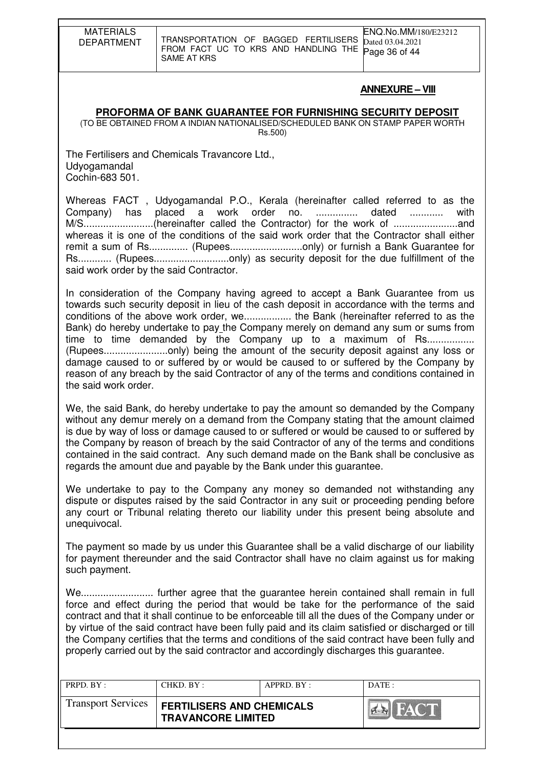MATERIALS DEPARTMENT TRANSPORTATION OF BAGGED FERTILISERS FROM FACT UC TO KRS AND HANDLING THE SAME AT KRS

#### **ANNEXURE – VIII**

#### **PROFORMA OF BANK GUARANTEE FOR FURNISHING SECURITY DEPOSIT**

(TO BE OBTAINED FROM A INDIAN NATIONALISED/SCHEDULED BANK ON STAMP PAPER WORTH Rs.500)

The Fertilisers and Chemicals Travancore Ltd., Udyogamandal Cochin-683 501.

Whereas FACT , Udyogamandal P.O., Kerala (hereinafter called referred to as the Company) has placed a work order no. ............... dated ............ with M/S.........................(hereinafter called the Contractor) for the work of .......................and whereas it is one of the conditions of the said work order that the Contractor shall either remit a sum of Rs............... (Rupees................................only) or furnish a Bank Guarantee for Rs............ (Rupees...........................only) as security deposit for the due fulfillment of the said work order by the said Contractor.

In consideration of the Company having agreed to accept a Bank Guarantee from us towards such security deposit in lieu of the cash deposit in accordance with the terms and conditions of the above work order, we................. the Bank (hereinafter referred to as the Bank) do hereby undertake to pay the Company merely on demand any sum or sums from time to time demanded by the Company up to a maximum of Rs.................. (Rupees.......................only) being the amount of the security deposit against any loss or damage caused to or suffered by or would be caused to or suffered by the Company by reason of any breach by the said Contractor of any of the terms and conditions contained in the said work order.

We, the said Bank, do hereby undertake to pay the amount so demanded by the Company without any demur merely on a demand from the Company stating that the amount claimed is due by way of loss or damage caused to or suffered or would be caused to or suffered by the Company by reason of breach by the said Contractor of any of the terms and conditions contained in the said contract. Any such demand made on the Bank shall be conclusive as regards the amount due and payable by the Bank under this guarantee.

We undertake to pay to the Company any money so demanded not withstanding any dispute or disputes raised by the said Contractor in any suit or proceeding pending before any court or Tribunal relating thereto our liability under this present being absolute and unequivocal.

The payment so made by us under this Guarantee shall be a valid discharge of our liability for payment thereunder and the said Contractor shall have no claim against us for making such payment.

We.......................... further agree that the guarantee herein contained shall remain in full force and effect during the period that would be take for the performance of the said contract and that it shall continue to be enforceable till all the dues of the Company under or by virtue of the said contract have been fully paid and its claim satisfied or discharged or till the Company certifies that the terms and conditions of the said contract have been fully and properly carried out by the said contractor and accordingly discharges this guarantee.

| PRPD. BY:                 | CHKD. BY:                                                     | APPRD. BY: | DATE: |
|---------------------------|---------------------------------------------------------------|------------|-------|
| <b>Transport Services</b> | <b>FERTILISERS AND CHEMICALS</b><br><b>TRAVANCORE LIMITED</b> |            |       |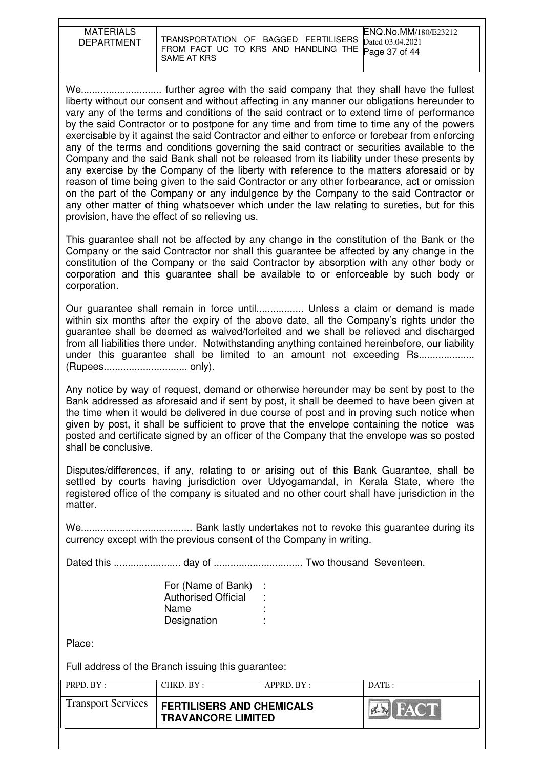| <b>MATERIALS</b><br><b>DEPARTMENT</b> | TRANSPORTATION OF BAGGED FERTILISERS Dated 03.04.2021<br>FROM FACT UC TO KRS AND HANDLING THE Page 37 of 44<br>SAME AT KRS | ENQ.No.MM/180/E23212 |
|---------------------------------------|----------------------------------------------------------------------------------------------------------------------------|----------------------|

We............................. further agree with the said company that they shall have the fullest liberty without our consent and without affecting in any manner our obligations hereunder to vary any of the terms and conditions of the said contract or to extend time of performance by the said Contractor or to postpone for any time and from time to time any of the powers exercisable by it against the said Contractor and either to enforce or forebear from enforcing any of the terms and conditions governing the said contract or securities available to the Company and the said Bank shall not be released from its liability under these presents by any exercise by the Company of the liberty with reference to the matters aforesaid or by reason of time being given to the said Contractor or any other forbearance, act or omission on the part of the Company or any indulgence by the Company to the said Contractor or any other matter of thing whatsoever which under the law relating to sureties, but for this provision, have the effect of so relieving us.

This guarantee shall not be affected by any change in the constitution of the Bank or the Company or the said Contractor nor shall this guarantee be affected by any change in the constitution of the Company or the said Contractor by absorption with any other body or corporation and this guarantee shall be available to or enforceable by such body or corporation.

Our guarantee shall remain in force until................. Unless a claim or demand is made within six months after the expiry of the above date, all the Company's rights under the guarantee shall be deemed as waived/forfeited and we shall be relieved and discharged from all liabilities there under. Notwithstanding anything contained hereinbefore, our liability under this quarantee shall be limited to an amount not exceeding Rs.................... (Rupees.............................. only).

Any notice by way of request, demand or otherwise hereunder may be sent by post to the Bank addressed as aforesaid and if sent by post, it shall be deemed to have been given at the time when it would be delivered in due course of post and in proving such notice when given by post, it shall be sufficient to prove that the envelope containing the notice was posted and certificate signed by an officer of the Company that the envelope was so posted shall be conclusive.

Disputes/differences, if any, relating to or arising out of this Bank Guarantee, shall be settled by courts having jurisdiction over Udyogamandal, in Kerala State, where the registered office of the company is situated and no other court shall have jurisdiction in the matter.

We........................................ Bank lastly undertakes not to revoke this guarantee during its currency except with the previous consent of the Company in writing.

Dated this ........................ day of ................................ Two thousand Seventeen.

| For (Name of Bank)         |    |
|----------------------------|----|
| <b>Authorised Official</b> |    |
| Name                       | ٠. |
| Designation                | ٠  |

Place:

Full address of the Branch issuing this guarantee:

| PRPD. BY:                 | CHKD. BY:                                                     | APPRD. BY: | DATE: |
|---------------------------|---------------------------------------------------------------|------------|-------|
| <b>Transport Services</b> | <b>FERTILISERS AND CHEMICALS</b><br><b>TRAVANCORE LIMITED</b> |            |       |
|                           |                                                               |            |       |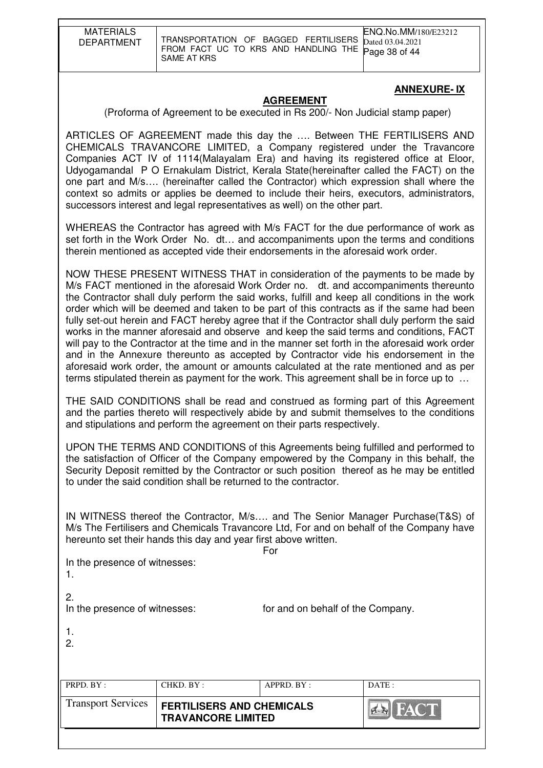| <b>MATERIALS</b><br><b>DEPARTMENT</b> | ENQ.No.MM/180/E23212<br>TRANSPORTATION OF BAGGED FERTILISERS Dated 03.04.2021<br>FROM FACT UC TO KRS AND HANDLING THE Page 38 of 44<br>SAME AT KRS |  |
|---------------------------------------|----------------------------------------------------------------------------------------------------------------------------------------------------|--|

#### **ANNEXURE- IX**

#### **AGREEMENT**

(Proforma of Agreement to be executed in Rs 200/- Non Judicial stamp paper)

ARTICLES OF AGREEMENT made this day the …. Between THE FERTILISERS AND CHEMICALS TRAVANCORE LIMITED, a Company registered under the Travancore Companies ACT IV of 1114(Malayalam Era) and having its registered office at Eloor, Udyogamandal P O Ernakulam District, Kerala State(hereinafter called the FACT) on the one part and M/s…. (hereinafter called the Contractor) which expression shall where the context so admits or applies be deemed to include their heirs, executors, administrators, successors interest and legal representatives as well) on the other part.

WHEREAS the Contractor has agreed with M/s FACT for the due performance of work as set forth in the Work Order No. dt… and accompaniments upon the terms and conditions therein mentioned as accepted vide their endorsements in the aforesaid work order.

NOW THESE PRESENT WITNESS THAT in consideration of the payments to be made by M/s FACT mentioned in the aforesaid Work Order no. dt. and accompaniments thereunto the Contractor shall duly perform the said works, fulfill and keep all conditions in the work order which will be deemed and taken to be part of this contracts as if the same had been fully set-out herein and FACT hereby agree that if the Contractor shall duly perform the said works in the manner aforesaid and observe and keep the said terms and conditions, FACT will pay to the Contractor at the time and in the manner set forth in the aforesaid work order and in the Annexure thereunto as accepted by Contractor vide his endorsement in the aforesaid work order, the amount or amounts calculated at the rate mentioned and as per terms stipulated therein as payment for the work. This agreement shall be in force up to …

THE SAID CONDITIONS shall be read and construed as forming part of this Agreement and the parties thereto will respectively abide by and submit themselves to the conditions and stipulations and perform the agreement on their parts respectively.

UPON THE TERMS AND CONDITIONS of this Agreements being fulfilled and performed to the satisfaction of Officer of the Company empowered by the Company in this behalf, the Security Deposit remitted by the Contractor or such position thereof as he may be entitled to under the said condition shall be returned to the contractor.

IN WITNESS thereof the Contractor, M/s…. and The Senior Manager Purchase(T&S) of M/s The Fertilisers and Chemicals Travancore Ltd, For and on behalf of the Company have hereunto set their hands this day and year first above written.

**Formal Contract of the State State State State State State State State State State State State State State State** 

In the presence of witnesses:

1.

2.

In the presence of witnesses: for and on behalf of the Company.

| _ |  |
|---|--|
|   |  |

2.

| PRPD. BY:                 | CHKD. BY:                                                     | APPRD. BY: | DATE:       |
|---------------------------|---------------------------------------------------------------|------------|-------------|
| <b>Transport Services</b> | <b>FERTILISERS AND CHEMICALS</b><br><b>TRAVANCORE LIMITED</b> |            | <b>FACT</b> |
|                           |                                                               |            |             |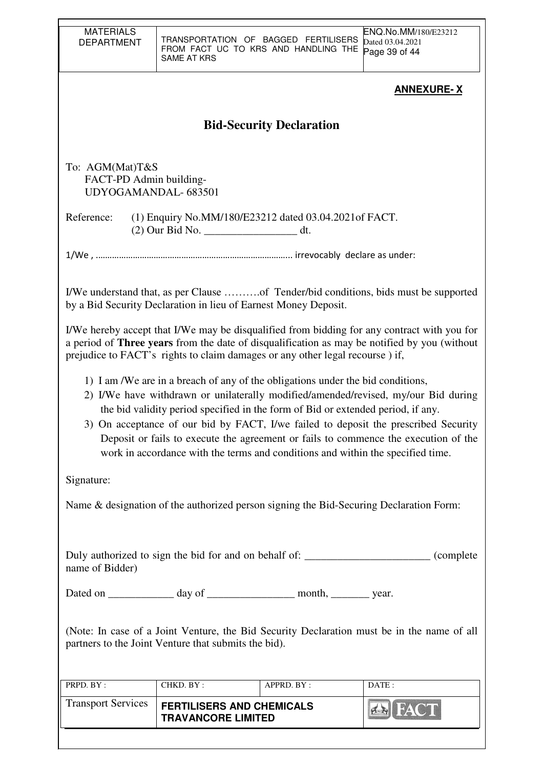| <b>MATERIALS</b><br><b>DEPARTMENT</b>                                                                                                                                                                                                                                                                                                                                                                                                                                                                                      | SAME AT KRS               | TRANSPORTATION OF BAGGED FERTILISERS<br>FROM FACT UC TO KRS AND HANDLING THE | ENQ.No.MM/180/E23212<br>Dated 03.04.2021<br>Page 39 of 44                                                                                                                                   |  |
|----------------------------------------------------------------------------------------------------------------------------------------------------------------------------------------------------------------------------------------------------------------------------------------------------------------------------------------------------------------------------------------------------------------------------------------------------------------------------------------------------------------------------|---------------------------|------------------------------------------------------------------------------|---------------------------------------------------------------------------------------------------------------------------------------------------------------------------------------------|--|
|                                                                                                                                                                                                                                                                                                                                                                                                                                                                                                                            |                           |                                                                              | <b>ANNEXURE-X</b>                                                                                                                                                                           |  |
|                                                                                                                                                                                                                                                                                                                                                                                                                                                                                                                            |                           | <b>Bid-Security Declaration</b>                                              |                                                                                                                                                                                             |  |
| To: AGM(Mat)T&S<br>FACT-PD Admin building-<br>UDYOGAMANDAL-683501                                                                                                                                                                                                                                                                                                                                                                                                                                                          |                           |                                                                              |                                                                                                                                                                                             |  |
| Reference:                                                                                                                                                                                                                                                                                                                                                                                                                                                                                                                 |                           | (1) Enquiry No.MM/180/E23212 dated 03.04.2021 of FACT.                       |                                                                                                                                                                                             |  |
|                                                                                                                                                                                                                                                                                                                                                                                                                                                                                                                            |                           |                                                                              |                                                                                                                                                                                             |  |
|                                                                                                                                                                                                                                                                                                                                                                                                                                                                                                                            |                           | by a Bid Security Declaration in lieu of Earnest Money Deposit.              |                                                                                                                                                                                             |  |
|                                                                                                                                                                                                                                                                                                                                                                                                                                                                                                                            |                           | prejudice to FACT's rights to claim damages or any other legal recourse) if, | I/We hereby accept that I/We may be disqualified from bidding for any contract with you for<br>a period of Three years from the date of disqualification as may be notified by you (without |  |
| 1) I am /We are in a breach of any of the obligations under the bid conditions,<br>2) I/We have withdrawn or unilaterally modified/amended/revised, my/our Bid during<br>the bid validity period specified in the form of Bid or extended period, if any.<br>3) On acceptance of our bid by FACT, I/we failed to deposit the prescribed Security<br>Deposit or fails to execute the agreement or fails to commence the execution of the<br>work in accordance with the terms and conditions and within the specified time. |                           |                                                                              |                                                                                                                                                                                             |  |
| Signature:                                                                                                                                                                                                                                                                                                                                                                                                                                                                                                                 |                           |                                                                              |                                                                                                                                                                                             |  |
| Name & designation of the authorized person signing the Bid-Securing Declaration Form:                                                                                                                                                                                                                                                                                                                                                                                                                                     |                           |                                                                              |                                                                                                                                                                                             |  |
| Duly authorized to sign the bid for and on behalf of: ________________________ (complete<br>name of Bidder)                                                                                                                                                                                                                                                                                                                                                                                                                |                           |                                                                              |                                                                                                                                                                                             |  |
|                                                                                                                                                                                                                                                                                                                                                                                                                                                                                                                            |                           | Dated on ______________ day of _____________________ month, __________ year. |                                                                                                                                                                                             |  |
| (Note: In case of a Joint Venture, the Bid Security Declaration must be in the name of all<br>partners to the Joint Venture that submits the bid).                                                                                                                                                                                                                                                                                                                                                                         |                           |                                                                              |                                                                                                                                                                                             |  |
| PRPD. BY:                                                                                                                                                                                                                                                                                                                                                                                                                                                                                                                  | CHKD. BY:                 | APPRD. BY:                                                                   | DATE:                                                                                                                                                                                       |  |
| <b>Transport Services</b>                                                                                                                                                                                                                                                                                                                                                                                                                                                                                                  | <b>TRAVANCORE LIMITED</b> | <b>FERTILISERS AND CHEMICALS</b>                                             |                                                                                                                                                                                             |  |
|                                                                                                                                                                                                                                                                                                                                                                                                                                                                                                                            |                           |                                                                              |                                                                                                                                                                                             |  |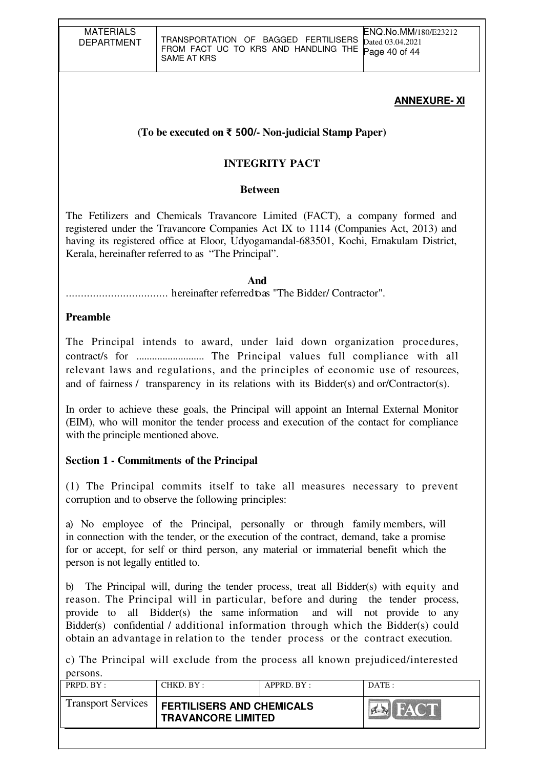# **(To be executed on** ₹ 500**/- Non-judicial Stamp Paper)**

# **INTEGRITY PACT**

#### **Between**

The Fetilizers and Chemicals Travancore Limited (FACT), a company formed and registered under the Travancore Companies Act IX to 1114 (Companies Act, 2013) and having its registered office at Eloor, Udyogamandal-683501, Kochi, Ernakulam District, Kerala, hereinafter referred to as "The Principal".

#### **And**

.................................. hereinafter referred to as "The Bidder/ Contractor".

#### **Preamble**

The Principal intends to award, under laid down organization procedures, contract/s for .......................... The Principal values full compliance with all relevant laws and regulations, and the principles of economic use of resources, and of fairness / transparency in its relations with its Bidder(s) and or/Contractor(s).

In order to achieve these goals, the Principal will appoint an Internal External Monitor (EIM), who will monitor the tender process and execution of the contact for compliance with the principle mentioned above.

### **Section 1 - Commitments of the Principal**

(1) The Principal commits itself to take all measures necessary to prevent corruption and to observe the following principles:

a) No employee of the Principal, personally or through family members, will in connection with the tender, or the execution of the contract, demand, take a promise for or accept, for self or third person, any material or immaterial benefit which the person is not legally entitled to.

b) The Principal will, during the tender process, treat all Bidder(s) with equity and reason. The Principal will in particular, before and during the tender process, provide to all Bidder(s) the same information and will not provide to any Bidder(s) confidential / additional information through which the Bidder(s) could obtain an advantage in relation to the tender process or the contract execution.

c) The Principal will exclude from the process all known prejudiced/interested persons.

| $PRPD$ $RY:$              | CHKD. BY:                                                     | $APPRD$ $BY$ : | $\overline{DATE}$ : |
|---------------------------|---------------------------------------------------------------|----------------|---------------------|
| <b>Transport Services</b> | <b>FERTILISERS AND CHEMICALS</b><br><b>TRAVANCORE LIMITED</b> |                | <b>FACT</b>         |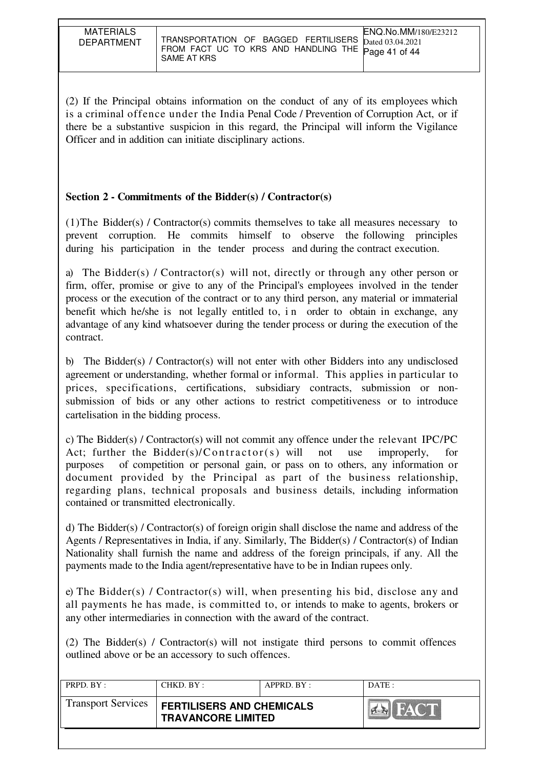| <b>MATERIALS</b><br><b>DEPARTMENT</b> | ENQ.No.MM/180/E23212<br>TRANSPORTATION OF BAGGED FERTILISERS Dated 03.04.2021<br>FROM FACT UC TO KRS AND HANDLING THE Page 41 of 44<br>SAME AT KRS |
|---------------------------------------|----------------------------------------------------------------------------------------------------------------------------------------------------|

(2) If the Principal obtains information on the conduct of any of its employees which is a criminal offence under the India Penal Code / Prevention of Corruption Act, or if there be a substantive suspicion in this regard, the Principal will inform the Vigilance Officer and in addition can initiate disciplinary actions.

## **Section 2 - Commitments of the Bidder(s) / Contractor(s)**

(1)The Bidder(s) / Contractor(s) commits themselves to take all measures necessary to prevent corruption. He commits himself to observe the following principles during his participation in the tender process and during the contract execution.

a) The Bidder(s) / Contractor(s) will not, directly or through any other person or firm, offer, promise or give to any of the Principal's employees involved in the tender process or the execution of the contract or to any third person, any material or immaterial benefit which he/she is not legally entitled to, in order to obtain in exchange, any advantage of any kind whatsoever during the tender process or during the execution of the contract.

b) The Bidder(s) / Contractor(s) will not enter with other Bidders into any undisclosed agreement or understanding, whether formal or informal. This applies in particular to prices, specifications, certifications, subsidiary contracts, submission or nonsubmission of bids or any other actions to restrict competitiveness or to introduce cartelisation in the bidding process.

c) The Bidder(s) / Contractor(s) will not commit any offence under the relevant IPC/PC Act; further the Bidder(s)/ $\text{Contractor}(s)$  will not use improperly, for purposes of competition or personal gain, or pass on to others, any information or document provided by the Principal as part of the business relationship, regarding plans, technical proposals and business details, including information contained or transmitted electronically.

d) The Bidder(s) / Contractor(s) of foreign origin shall disclose the name and address of the Agents / Representatives in India, if any. Similarly, The Bidder(s) / Contractor(s) of Indian Nationality shall furnish the name and address of the foreign principals, if any. All the payments made to the India agent/representative have to be in Indian rupees only.

e) The Bidder(s) / Contractor(s) will, when presenting his bid, disclose any and all payments he has made, is committed to, or intends to make to agents, brokers or any other intermediaries in connection with the award of the contract.

(2) The Bidder(s) / Contractor(s) will not instigate third persons to commit offences outlined above or be an accessory to such offences.

| <b>Transport Services</b><br><b>FERTILISERS AND CHEMICALS</b> | DATE :                     | APPRD. BY: | CHKD. BY: | PRPD. BY: |
|---------------------------------------------------------------|----------------------------|------------|-----------|-----------|
| <b>TRAVANCORE LIMITED</b>                                     | <b>FACT</b><br><b>PERS</b> |            |           |           |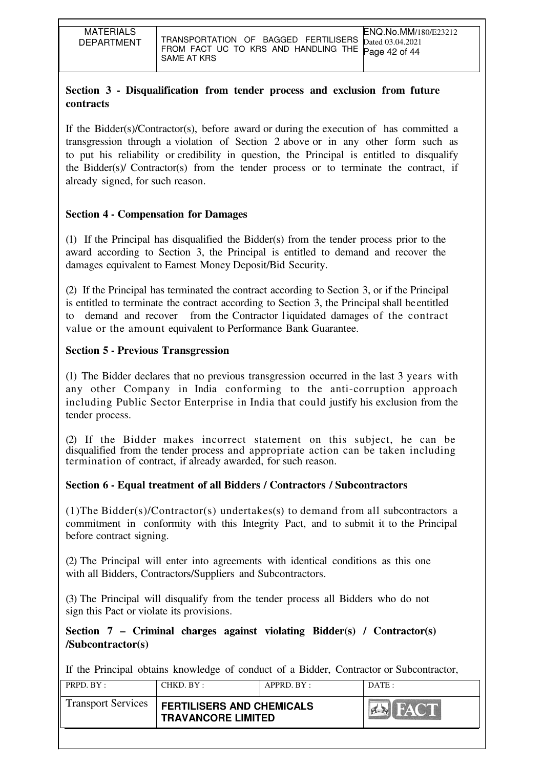# **Section 3 - Disqualification from tender process and exclusion from future contracts**

If the Bidder(s)/Contractor(s), before award or during the execution of has committed a transgression through a violation of Section 2 above or in any other form such as to put his reliability or credibility in question, the Principal is entitled to disqualify the Bidder(s)/ Contractor(s) from the tender process or to terminate the contract, if already signed, for such reason.

## **Section 4 - Compensation for Damages**

(1) If the Principal has disqualified the Bidder(s) from the tender process prior to the award according to Section 3, the Principal is entitled to demand and recover the damages equivalent to Earnest Money Deposit/Bid Security.

(2) If the Principal has terminated the contract according to Section 3, or if the Principal is entitled to terminate the contract according to Section 3, the Principal shall be entitled to demand and recover from the Contractor l iquidated damages of the contract value or the amount equivalent to Performance Bank Guarantee.

### **Section 5 - Previous Transgression**

(1) The Bidder declares that no previous transgression occurred in the last 3 years with any other Company in India conforming to the anti-corruption approach including Public Sector Enterprise in India that could justify his exclusion from the tender process.

(2) If the Bidder makes incorrect statement on this subject, he can be disqualified from the tender process and appropriate action can be taken including termination of contract, if already awarded, for such reason.

# **Section 6 - Equal treatment of all Bidders / Contractors / Subcontractors**

(1)The Bidder(s)/Contractor(s) undertakes(s) to demand from all subcontractors a commitment in conformity with this Integrity Pact, and to submit it to the Principal before contract signing.

(2) The Principal will enter into agreements with identical conditions as this one with all Bidders, Contractors/Suppliers and Subcontractors.

(3) The Principal will disqualify from the tender process all Bidders who do not sign this Pact or violate its provisions.

**Section 7 – Criminal charges against violating Bidder(s) / Contractor(s) /Subcontractor(s)**

If the Principal obtains knowledge of conduct of a Bidder, Contractor or Subcontractor,

| PRPD. BY:                 | CHKD. BY:                                                     | APPRD. BY: | DATE: |
|---------------------------|---------------------------------------------------------------|------------|-------|
| <b>Transport Services</b> | <b>FERTILISERS AND CHEMICALS</b><br><b>TRAVANCORE LIMITED</b> |            | FACT  |
|                           |                                                               |            |       |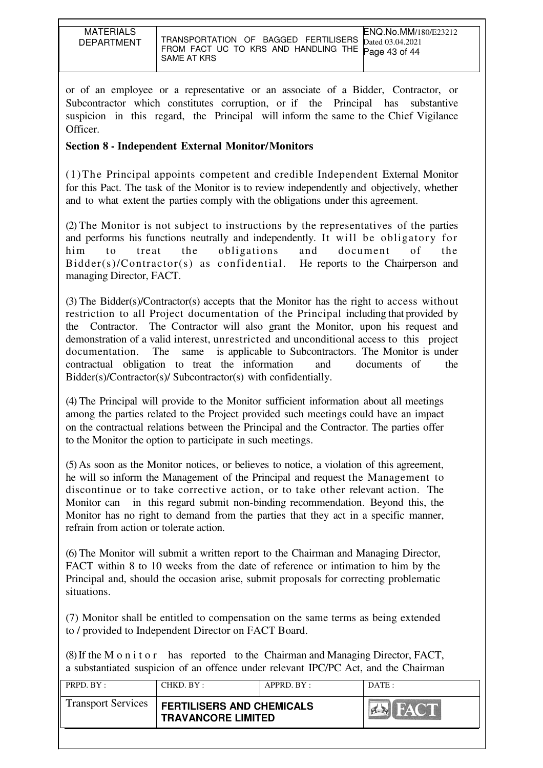or of an employee or a representative or an associate of a Bidder, Contractor, or Subcontractor which constitutes corruption, or if the Principal has substantive suspicion in this regard, the Principal will inform the same to the Chief Vigilance Officer.

# **Section 8 - Independent External Monitor/Monitors**

(1)The Principal appoints competent and credible Independent External Monitor for this Pact. The task of the Monitor is to review independently and objectively, whether and to what extent the parties comply with the obligations under this agreement.

(2) The Monitor is not subject to instructions by the representatives of the parties and performs his functions neutrally and independently. It will be obligatory for him to treat the obligations and document of the Bidder(s)/Contractor(s) as confidential. He reports to the Chairperson and managing Director, FACT.

(3) The Bidder(s)/Contractor(s) accepts that the Monitor has the right to access without restriction to all Project documentation of the Principal including that provided by the Contractor. The Contractor will also grant the Monitor, upon his request and demonstration of a valid interest, unrestricted and unconditional access to this project documentation. The same is applicable to Subcontractors. The Monitor is under contractual obligation to treat the information and documents of the Bidder(s)/Contractor(s)/ Subcontractor(s) with confidentially.

(4) The Principal will provide to the Monitor sufficient information about all meetings among the parties related to the Project provided such meetings could have an impact on the contractual relations between the Principal and the Contractor. The parties offer to the Monitor the option to participate in such meetings.

(5) As soon as the Monitor notices, or believes to notice, a violation of this agreement, he will so inform the Management of the Principal and request the Management to discontinue or to take corrective action, or to take other relevant action. The Monitor can in this regard submit non-binding recommendation. Beyond this, the Monitor has no right to demand from the parties that they act in a specific manner, refrain from action or tolerate action.

(6) The Monitor will submit a written report to the Chairman and Managing Director, FACT within 8 to 10 weeks from the date of reference or intimation to him by the Principal and, should the occasion arise, submit proposals for correcting problematic situations.

(7) Monitor shall be entitled to compensation on the same terms as being extended to / provided to Independent Director on FACT Board.

(8) If the M o n i t o r has reported to the Chairman and Managing Director, FACT, a substantiated suspicion of an offence under relevant IPC/PC Act, and the Chairman

| PRPD. BY:                 | CHKD. BY:                                                     | APPRD. BY: | DATA                         |
|---------------------------|---------------------------------------------------------------|------------|------------------------------|
| <b>Transport Services</b> | <b>FERTILISERS AND CHEMICALS</b><br><b>TRAVANCORE LIMITED</b> |            | <b>FACT</b><br>$\sim$ $\sim$ |
|                           |                                                               |            |                              |